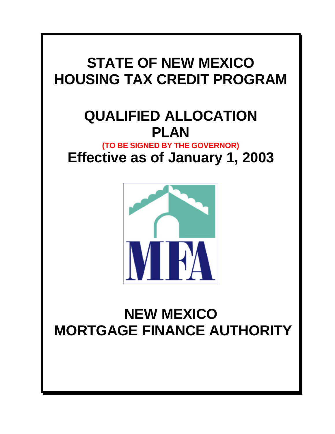# **STATE OF NEW MEXICO HOUSING TAX CREDIT PROGRAM**

# **QUALIFIED ALLOCATION PLAN**

**(TO BE SIGNED BY THE GOVERNOR) Effective as of January 1, 2003**



# **NEW MEXICO MORTGAGE FINANCE AUTHORITY**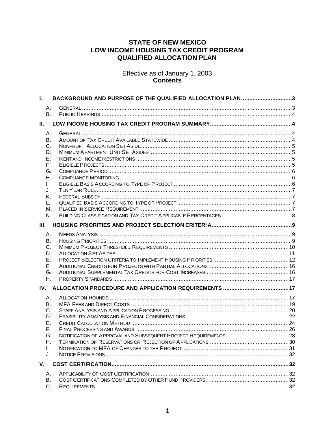# **STATE OF NEW MEXICO** LOW INCOME HOUSING TAX CREDIT PROGRAM **QUALIFIED ALLOCATION PLAN**

Effective as of January 1, 2003<br>Contents

| А.<br><b>B.</b><br>II.<br>А.<br>В.<br>C.<br>D.<br>Ε.<br>F.<br>G.<br>Η.<br>L.<br>J.<br>Κ.<br>L.<br>М.<br>N.<br>Ш.<br>Α.<br>В.<br>C.<br>D.<br>Е.<br>F.<br>G.<br>Η.<br>А.<br>В.<br>C.<br>D.<br>Ε.<br>F. |
|------------------------------------------------------------------------------------------------------------------------------------------------------------------------------------------------------|
|                                                                                                                                                                                                      |
|                                                                                                                                                                                                      |
|                                                                                                                                                                                                      |
|                                                                                                                                                                                                      |
|                                                                                                                                                                                                      |
|                                                                                                                                                                                                      |
|                                                                                                                                                                                                      |
|                                                                                                                                                                                                      |
|                                                                                                                                                                                                      |
|                                                                                                                                                                                                      |
|                                                                                                                                                                                                      |
|                                                                                                                                                                                                      |
|                                                                                                                                                                                                      |
|                                                                                                                                                                                                      |
|                                                                                                                                                                                                      |
|                                                                                                                                                                                                      |
|                                                                                                                                                                                                      |
|                                                                                                                                                                                                      |
|                                                                                                                                                                                                      |
|                                                                                                                                                                                                      |
|                                                                                                                                                                                                      |
|                                                                                                                                                                                                      |
|                                                                                                                                                                                                      |
|                                                                                                                                                                                                      |
|                                                                                                                                                                                                      |
|                                                                                                                                                                                                      |
|                                                                                                                                                                                                      |
|                                                                                                                                                                                                      |
|                                                                                                                                                                                                      |
|                                                                                                                                                                                                      |
|                                                                                                                                                                                                      |
|                                                                                                                                                                                                      |
|                                                                                                                                                                                                      |
|                                                                                                                                                                                                      |
| G.                                                                                                                                                                                                   |
| Η.                                                                                                                                                                                                   |
| L.                                                                                                                                                                                                   |
| J.                                                                                                                                                                                                   |
| V.                                                                                                                                                                                                   |
| А.                                                                                                                                                                                                   |
| В.                                                                                                                                                                                                   |
| C.                                                                                                                                                                                                   |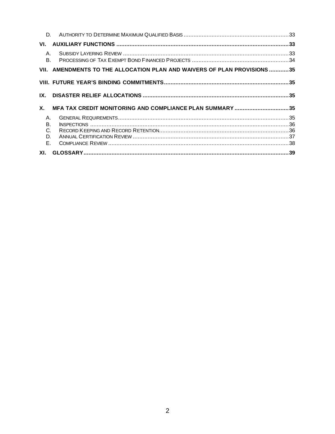| D.                                         |                                                                          |  |
|--------------------------------------------|--------------------------------------------------------------------------|--|
| VL.                                        |                                                                          |  |
| $A_{-}$<br><sub>B</sub>                    |                                                                          |  |
|                                            | VII. AMENDMENTS TO THE ALLOCATION PLAN AND WAIVERS OF PLAN PROVISIONS 35 |  |
|                                            |                                                                          |  |
| IX.                                        |                                                                          |  |
| <b>X</b> .                                 | MFA TAX CREDIT MONITORING AND COMPLIANCE PLAN SUMMARY35                  |  |
| Α.<br><b>B.</b><br>$C_{\cdot}$<br>D.<br>F. |                                                                          |  |
| XI.                                        |                                                                          |  |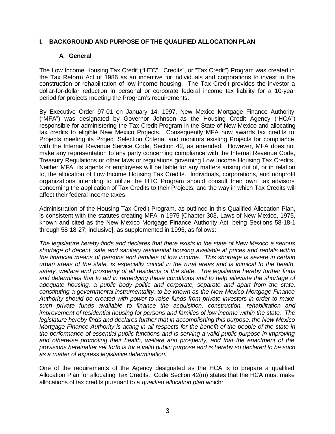# **I. BACKGROUND AND PURPOSE OF THE QUALIFIED ALLOCATION PLAN**

#### **A. General**

The Low Income Housing Tax Credit ("HTC", "Credits", or "Tax Credit") Program was created in the Tax Reform Act of 1986 as an incentive for individuals and corporations to invest in the construction or rehabilitation of low income housing. The Tax Credit provides the investor a dollar-for-dollar reduction in personal or corporate federal income tax liability for a 10-year period for projects meeting the Program's requirements.

By Executive Order 97-01 on January 14, 1997, New Mexico Mortgage Finance Authority ("MFA") was designated by Governor Johnson as the Housing Credit Agency ("HCA") responsible for administering the Tax Credit Program in the State of New Mexico and allocating tax credits to eligible New Mexico Projects. Consequently MFA now awards tax credits to Projects meeting its Project Selection Criteria, and monitors existing Projects for compliance with the Internal Revenue Service Code, Section 42, as amended. However, MFA does not make any representation to any party concerning compliance with the Internal Revenue Code, Treasury Regulations or other laws or regulations governing Low Income Housing Tax Credits. Neither MFA, its agents or employees will be liable for any matters arising out of, or in relation to, the allocation of Low Income Housing Tax Credits. Individuals, corporations, and nonprofit organizations intending to utilize the HTC Program should consult their own tax advisors concerning the application of Tax Credits to their Projects, and the way in which Tax Credits will affect their federal income taxes.

Administration of the Housing Tax Credit Program, as outlined in this Qualified Allocation Plan, is consistent with the statutes creating MFA in 1975 [Chapter 303, Laws of New Mexico, 1975, known and cited as the New Mexico Mortgage Finance Authority Act, being Sections 58-18-1 through 58-18-27, inclusive], as supplemented in 1995, as follows:

*The legislature hereby finds and declares that there exists in the state of New Mexico a serious shortage of decent, safe and sanitary residential housing available at prices and rentals within the financial means of persons and families of low income. This shortage is severe in certain urban areas of the state, is especially critical in the rural areas and is inimical to the health, safety, welfare and prosperity of all residents of the state…The legislature hereby further finds and determines that to aid in remedying these conditions and to help alleviate the shortage of adequate housing, a public body politic and corporate, separate and apart from the state, constituting a governmental instrumentality, to be known as the New Mexico Mortgage Finance Authority should be created with power to raise funds from private investors in order to make such private funds available to finance the acquisition, construction, rehabilitation and improvement of residential housing for persons and families of low income within the state. The legislature hereby finds and declares further that in accomplishing this purpose, the New Mexico Mortgage Finance Authority is acting in all respects for the benefit of the people of the state in the performance of essential public functions and is serving a valid public purpose in improving and otherwise promoting their health, welfare and prosperity, and that the enactment of the provisions hereinafter set forth is for a valid public purpose and is hereby so declared to be such as a matter of express legislative determination.*

One of the requirements of the Agency designated as the HCA is to prepare a qualified Allocation Plan for allocating Tax Credits. Code Section 42(m) states that the HCA must make allocations of tax credits pursuant to a *qualified allocation plan* which: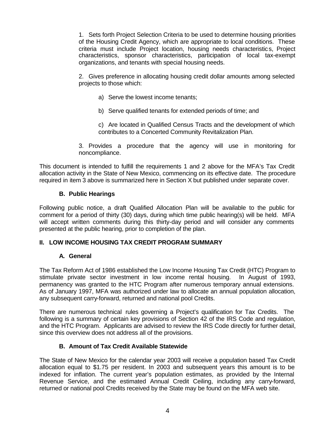1. Sets forth Project Selection Criteria to be used to determine housing priorities of the Housing Credit Agency, which are appropriate to local conditions. These criteria must include Project location, housing needs characteristics, Project characteristics, sponsor characteristics, participation of local tax-exempt organizations, and tenants with special housing needs.

2. Gives preference in allocating housing credit dollar amounts among selected projects to those which:

- a) Serve the lowest income tenants;
- b) Serve qualified tenants for extended periods of time; and

c) Are located in Qualified Census Tracts and the development of which contributes to a Concerted Community Revitalization Plan.

3. Provides a procedure that the agency will use in monitoring for noncompliance.

This document is intended to fulfill the requirements 1 and 2 above for the MFA's Tax Credit allocation activity in the State of New Mexico, commencing on its effective date. The procedure required in item 3 above is summarized here in Section X but published under separate cover.

# **B. Public Hearings**

Following public notice, a draft Qualified Allocation Plan will be available to the public for comment for a period of thirty (30) days, during which time public hearing(s) will be held. MFA will accept written comments during this thirty-day period and will consider any comments presented at the public hearing, prior to completion of the plan.

#### **II. LOW INCOME HOUSING TAX CREDIT PROGRAM SUMMARY**

#### **A. General**

The Tax Reform Act of 1986 established the Low Income Housing Tax Credit (HTC) Program to stimulate private sector investment in low income rental housing. In August of 1993, permanency was granted to the HTC Program after numerous temporary annual extensions. As of January 1997, MFA was authorized under law to allocate an annual population allocation, any subsequent carry-forward, returned and national pool Credits.

There are numerous technical rules governing a Project's qualification for Tax Credits. The following is a summary of certain key provisions of Section 42 of the IRS Code and regulation, and the HTC Program. Applicants are advised to review the IRS Code directly for further detail, since this overview does not address all of the provisions.

#### **B. Amount of Tax Credit Available Statewide**

The State of New Mexico for the calendar year 2003 will receive a population based Tax Credit allocation equal to \$1.75 per resident. In 2003 and subsequent years this amount is to be indexed for inflation. The current year's population estimates, as provided by the Internal Revenue Service, and the estimated Annual Credit Ceiling, including any carry-forward, returned or national pool Credits received by the State may be found on the MFA web site.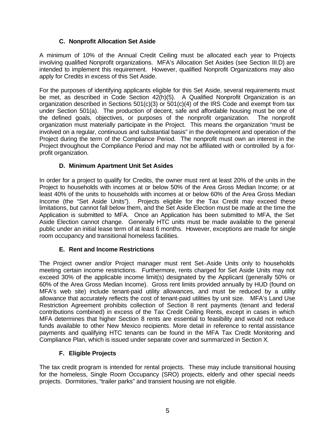# **C. Nonprofit Allocation Set Aside**

A minimum of 10% of the Annual Credit Ceiling must be allocated each year to Projects involving qualified Nonprofit organizations. MFA's Allocation Set Asides (see Section III.D) are intended to implement this requirement. However, qualified Nonprofit Organizations may also apply for Credits in excess of this Set Aside.

For the purposes of identifying applicants eligible for this Set Aside, several requirements must be met, as described in Code Section 42(h)(5). A Qualified Nonprofit Organization is an organization described in Sections  $501(c)(3)$  or  $501(c)(4)$  of the IRS Code and exempt from tax under Section 501(a). The production of decent, safe and affordable housing must be one of the defined goals, objectives, or purposes of the nonprofit organization. The nonprofit organization must materially participate in the Project. This means the organization "must be involved on a regular, continuous and substantial basis" in the development and operation of the Project during the term of the Compliance Period. The nonprofit must own an interest in the Project throughout the Compliance Period and may not be affiliated with or controlled by a forprofit organization.

# **D. Minimum Apartment Unit Set Asides**

In order for a project to qualify for Credits, the owner must rent at least 20% of the units in the Project to households with incomes at or below 50% of the Area Gross Median Income; or at least 40% of the units to households with incomes at or below 60% of the Area Gross Median Income (the "Set Aside Units"). Projects eligible for the Tax Credit may exceed these limitations, but cannot fall below them, and the Set Aside Election must be made at the time the Application is submitted to MFA. Once an Application has been submitted to MFA, the Set Aside Election cannot change. Generally HTC units must be made available to the general public under an initial lease term of at least 6 months. However, exceptions are made for single room occupancy and transitional homeless facilities.

# **E. Rent and Income Restrictions**

The Project owner and/or Project manager must rent Set-Aside Units only to households meeting certain income restrictions. Furthermore, rents charged for Set Aside Units may not exceed 30% of the applicable income limit(s) designated by the Applicant (generally 50% or 60% of the Area Gross Median Income). Gross rent limits provided annually by HUD (found on MFA's web site) include tenant-paid utility allowances, and must be reduced by a utility allowance that accurately reflects the cost of tenant-paid utilities by unit size. MFA's Land Use Restriction Agreement prohibits collection of Section 8 rent payments (tenant and federal contributions combined) in excess of the Tax Credit Ceiling Rents, except in cases in which MFA determines that higher Section 8 rents are essential to feasibility and would not reduce funds available to other New Mexico recipients. More detail in reference to rental assistance payments and qualifying HTC tenants can be found in the MFA Tax Credit Monitoring and Compliance Plan, which is issued under separate cover and summarized in Section X.

# **F. Eligible Projects**

The tax credit program is intended for rental projects. These may include transitional housing for the homeless, Single Room Occupancy (SRO) projects, elderly and other special needs projects. Dormitories, "trailer parks" and transient housing are not eligible.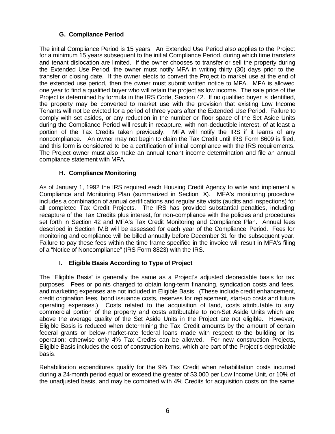# **G. Compliance Period**

The initial Compliance Period is 15 years. An Extended Use Period also applies to the Project for a minimum 15 years subsequent to the initial Compliance Period, during which time transfers and tenant dislocation are limited. If the owner chooses to transfer or sell the property during the Extended Use Period, the owner must notify MFA in writing thirty (30) days prior to the transfer or closing date. If the owner elects to convert the Project to market use at the end of the extended use period, then the owner must submit written notice to MFA. MFA is allowed one year to find a qualified buyer who will retain the project as low income. The sale price of the Project is determined by formula in the IRS Code, Section 42. If no qualified buyer is identified, the property may be converted to market use with the provision that existing Low Income Tenants will not be evicted for a period of three years after the Extended Use Period. Failure to comply with set asides, or any reduction in the number or floor space of the Set Aside Units during the Compliance Period will result in recapture, with non-deductible interest, of at least a portion of the Tax Credits taken previously. MFA will notify the IRS if it learns of any noncompliance. An owner may not begin to claim the Tax Credit until IRS Form 8609 is filed, and this form is considered to be a certification of initial compliance with the IRS requirements. The Project owner must also make an annual tenant income determination and file an annual compliance statement with MFA.

# **H. Compliance Monitoring**

As of January 1, 1992 the IRS required each Housing Credit Agency to write and implement a Compliance and Monitoring Plan (summarized in Section X). MFA's monitoring procedure includes a combination of annual certifications and regular site visits (audits and inspections) for all completed Tax Credit Projects. The IRS has provided substantial penalties, including recapture of the Tax Credits plus interest, for non-compliance with the policies and procedures set forth in Section 42 and MFA's Tax Credit Monitoring and Compliance Plan. Annual fees described in Section IV.B will be assessed for each year of the Compliance Period. Fees for monitoring and compliance will be billed annually before December 31 for the subsequent year. Failure to pay these fees within the time frame specified in the invoice will result in MFA's filing of a "Notice of Noncompliance" (IRS Form 8823) with the IRS.

# **I. Eligible Basis According to Type of Project**

The "Eligible Basis" is generally the same as a Project's adjusted depreciable basis for tax purposes. Fees or points charged to obtain long-term financing, syndication costs and fees, and marketing expenses are not included in Eligible Basis. (These include credit enhancement, credit origination fees, bond issuance costs, reserves for replacement, start-up costs and future operating expenses.) Costs related to the acquisition of land, costs attributable to any commercial portion of the property and costs attributable to non-Set Aside Units which are above the average quality of the Set Aside Units in the Project are not eligible. However, Eligible Basis is reduced when determining the Tax Credit amounts by the amount of certain federal grants or below-market-rate federal loans made with respect to the building or its operation; otherwise only 4% Tax Credits can be allowed. For new construction Projects, Eligible Basis includes the cost of construction items, which are part of the Project's depreciable basis.

Rehabilitation expenditures qualify for the 9% Tax Credit when rehabilitation costs incurred during a 24-month period equal or exceed the greater of \$3,000 per Low Income Unit, or 10% of the unadjusted basis, and may be combined with 4% Credits for acquisition costs on the same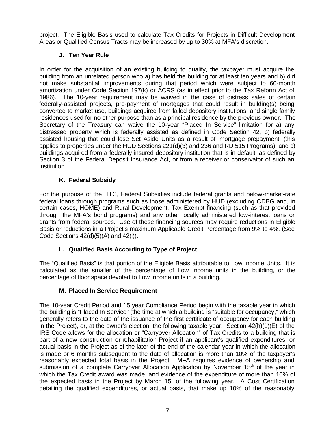project. The Eligible Basis used to calculate Tax Credits for Projects in Difficult Development Areas or Qualified Census Tracts may be increased by up to 30% at MFA's discretion.

# **J. Ten Year Rule**

In order for the acquisition of an existing building to qualify, the taxpayer must acquire the building from an unrelated person who a) has held the building for at least ten years and b) did not make substantial improvements during that period which were subject to 60-month amortization under Code Section 197(k) or ACRS (as in effect prior to the Tax Reform Act of 1986). The 10-year requirement may be waived in the case of distress sales of certain federally-assisted projects, pre-payment of mortgages that could result in building(s) being converted to market use, buildings acquired from failed depository institutions, and single family residences used for no other purpose than as a principal residence by the previous owner. The Secretary of the Treasury can waive the 10-year "Placed In Service" limitation for a) any distressed property which is federally assisted as defined in Code Section 42, b) federally assisted housing that could lose Set Aside Units as a result of mortgage prepayment, (this applies to properties under the HUD Sections 221(d)(3) and 236 and RD 515 Programs), and c) buildings acquired from a federally insured depository institution that is in default, as defined by Section 3 of the Federal Deposit Insurance Act, or from a receiver or conservator of such an institution.

# **K. Federal Subsidy**

For the purpose of the HTC, Federal Subsidies include federal grants and below-market-rate federal loans through programs such as those administered by HUD (excluding CDBG and, in certain cases, HOME) and Rural Development, Tax Exempt financing (such as that provided through the MFA's bond programs) and any other locally administered low-interest loans or grants from federal sources. Use of these financing sources may require reductions in Eligible Basis or reductions in a Project's maximum Applicable Credit Percentage from 9% to 4%. (See Code Sections 42(d)(5)(A) and 42(i)).

# **L. Qualified Basis According to Type of Project**

The "Qualified Basis" is that portion of the Eligible Basis attributable to Low Income Units. It is calculated as the smaller of the percentage of Low Income units in the building, or the percentage of floor space devoted to Low Income units in a building.

# **M. Placed In Service Requirement**

The 10-year Credit Period and 15 year Compliance Period begin with the taxable year in which the building is "Placed In Service" (the time at which a building is "suitable for occupancy," which generally refers to the date of the issuance of the first certificate of occupancy for each building in the Project), or, at the owner's election, the following taxable year. Section  $42(h)(1)(E)$  of the IRS Code allows for the allocation or "Carryover Allocation" of Tax Credits to a building that is part of a new construction or rehabilitation Project if an applicant's qualified expenditures, or actual basis in the Project as of the later of the end of the calendar year in which the allocation is made or 6 months subsequent to the date of allocation is more than 10% of the taxpayer's reasonably expected total basis in the Project. MFA requires evidence of ownership and submission of a complete Carryover Allocation Application by November 15<sup>th</sup> of the year in which the Tax Credit award was made, and evidence of the expenditure of more than 10% of the expected basis in the Project by March 15, of the following year. A Cost Certification detailing the qualified expenditures, or actual basis, that make up 10% of the reasonably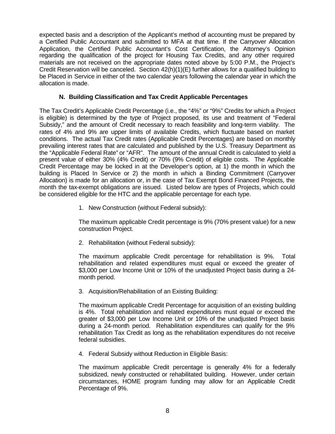expected basis and a description of the Applicant's method of accounting must be prepared by a Certified Public Accountant and submitted to MFA at that time. If the Carryover Allocation Application, the Certified Public Accountant's Cost Certification, the Attorney's Opinion regarding the qualification of the project for Housing Tax Credits, and any other required materials are not received on the appropriate dates noted above by 5:00 P.M., the Project's Credit Reservation will be canceled. Section 42(h)(1)(E) further allows for a qualified building to be Placed in Service in either of the two calendar years following the calendar year in which the allocation is made.

# **N. Building Classification and Tax Credit Applicable Percentages**

The Tax Credit's Applicable Credit Percentage (i.e., the "4%" or "9%" Credits for which a Project is eligible) is determined by the type of Project proposed, its use and treatment of "Federal Subsidy," and the amount of Credit necessary to reach feasibility and long-term viability. The rates of 4% and 9% are upper limits of available Credits, which fluctuate based on market conditions. The actual Tax Credit rates (Applicable Credit Percentages) are based on monthly prevailing interest rates that are calculated and published by the U.S. Treasury Department as the "Applicable Federal Rate" or "AFR". The amount of the annual Credit is calculated to yield a present value of either 30% (4% Credit) or 70% (9% Credit) of eligible costs. The Applicable Credit Percentage may be locked in at the Developer's option, at 1) the month in which the building is Placed In Service or 2) the month in which a Binding Commitment (Carryover Allocation) is made for an allocation or, in the case of Tax Exempt Bond Financed Projects, the month the tax-exempt obligations are issued. Listed below are types of Projects, which could be considered eligible for the HTC and the applicable percentage for each type.

1. New Construction (without Federal subsidy):

The maximum applicable Credit percentage is 9% (70% present value) for a new construction Project.

2. Rehabilitation (without Federal subsidy):

The maximum applicable Credit percentage for rehabilitation is 9%. Total rehabilitation and related expenditures must equal or exceed the greater of \$3,000 per Low Income Unit or 10% of the unadjusted Project basis during a 24 month period.

3. Acquisition/Rehabilitation of an Existing Building:

The maximum applicable Credit Percentage for acquisition of an existing building is 4%. Total rehabilitation and related expenditures must equal or exceed the greater of \$3,000 per Low Income Unit or 10% of the unadjusted Project basis during a 24-month period. Rehabilitation expenditures can qualify for the 9% rehabilitation Tax Credit as long as the rehabilitation expenditures do not receive federal subsidies.

4. Federal Subsidy without Reduction in Eligible Basis:

The maximum applicable Credit percentage is generally 4% for a federally subsidized, newly constructed or rehabilitated building. However, under certain circumstances, HOME program funding may allow for an Applicable Credit Percentage of 9%.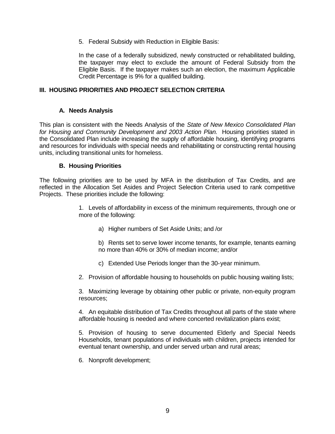5. Federal Subsidy with Reduction in Eligible Basis:

In the case of a federally subsidized, newly constructed or rehabilitated building, the taxpayer may elect to exclude the amount of Federal Subsidy from the Eligible Basis. If the taxpayer makes such an election, the maximum Applicable Credit Percentage is 9% for a qualified building.

#### **III. HOUSING PRIORITIES AND PROJECT SELECTION CRITERIA**

#### **A. Needs Analysis**

This plan is consistent with the Needs Analysis of the *State of New Mexico Consolidated Plan for Housing and Community Development and 2003 Action Plan.* Housing priorities stated in the Consolidated Plan include increasing the supply of affordable housing, identifying programs and resources for individuals with special needs and rehabilitating or constructing rental housing units, including transitional units for homeless.

#### **B. Housing Priorities**

The following priorities are to be used by MFA in the distribution of Tax Credits, and are reflected in the Allocation Set Asides and Project Selection Criteria used to rank competitive Projects. These priorities include the following:

> 1. Levels of affordability in excess of the minimum requirements, through one or more of the following:

a) Higher numbers of Set Aside Units; and /or

b) Rents set to serve lower income tenants, for example, tenants earning no more than 40% or 30% of median income; and/or

c) Extended Use Periods longer than the 30-year minimum.

2. Provision of affordable housing to households on public housing waiting lists;

3. Maximizing leverage by obtaining other public or private, non-equity program resources;

4. An equitable distribution of Tax Credits throughout all parts of the state where affordable housing is needed and where concerted revitalization plans exist;

5. Provision of housing to serve documented Elderly and Special Needs Households, tenant populations of individuals with children, projects intended for eventual tenant ownership, and under served urban and rural areas;

6. Nonprofit development;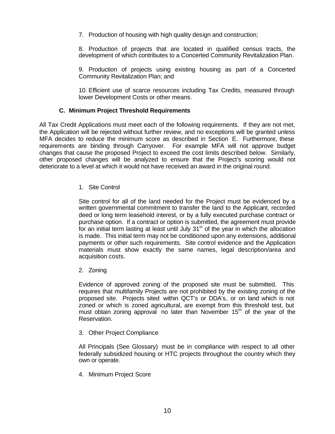7. Production of housing with high quality design and construction;

8. Production of projects that are located in qualified census tracts, the development of which contributes to a Concerted Community Revitalization Plan.

9. Production of projects using existing housing as part of a Concerted Community Revitalization Plan; and

10. Efficient use of scarce resources including Tax Credits, measured through lower Development Costs or other means.

#### **C. Minimum Project Threshold Requirements**

All Tax Credit Applications must meet each of the following requirements. If they are not met, the Application will be rejected without further review, and no exceptions will be granted unless MFA decides to reduce the minimum score as described in Section E. Furthermore, these requirements are binding through Carryover. For example MFA will not approve budget changes that cause the proposed Project to exceed the cost limits described below. Similarly, other proposed changes will be analyzed to ensure that the Project's scoring would not deteriorate to a level at which it would not have received an award in the original round.

#### 1. Site Control

Site control for all of the land needed for the Project must be evidenced by a written governmental commitment to transfer the land to the Applicant, recorded deed or long term leasehold interest, or by a fully executed purchase contract or purchase option. If a contract or option is submitted, the agreement must provide for an initial term lasting at least until July  $31<sup>st</sup>$  of the year in which the allocation is made. This initial term may not be conditioned upon any extensions, additional payments or other such requirements. Site control evidence and the Application materials must show exactly the same names, legal description/area and acquisition costs.

2. Zoning

Evidence of approved zoning of the proposed site must be submitted. This requires that multifamily Projects are not prohibited by the existing zoning of the proposed site. Projects sited within QCT's or DDA's, or on land which is not zoned or which is zoned agricultural, are exempt from this threshold test, but must obtain zoning approval no later than November  $15<sup>th</sup>$  of the year of the Reservation.

3. Other Project Compliance

All Principals (See Glossary) must be in compliance with respect to all other federally subsidized housing or HTC projects throughout the country which they own or operate.

4. Minimum Project Score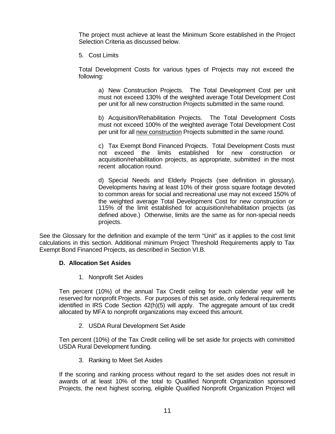The project must achieve at least the Minimum Score established in the Project Selection Criteria as discussed below.

5. Cost Limits

Total Development Costs for various types of Projects may not exceed the following:

a) New Construction Projects. The Total Development Cost per unit must not exceed 130% of the weighted average Total Development Cost per unit for all new construction Projects submitted in the same round.

b) Acquisition/Rehabilitation Projects. The Total Development Costs must not exceed 100% of the weighted average Total Development Cost per unit for all new construction Projects submitted in the same round.

c) Tax Exempt Bond Financed Projects. Total Development Costs must not exceed the limits established for new construction or acquisition/rehabilitation projects, as appropriate, submitted in the most recent allocation round.

d) Special Needs and Elderly Projects (see definition in glossary). Developments having at least 10% of their gross square footage devoted to common areas for social and recreational use may not exceed 150% of the weighted average Total Development Cost for new construction or 115% of the limit established for acquisition/rehabilitation projects (as defined above.) Otherwise, limits are the same as for non-special needs projects.

See the Glossary for the definition and example of the term "Unit" as it applies to the cost limit calculations in this section. Additional minimum Project Threshold Requirements apply to Tax Exempt Bond Financed Projects, as described in Section VI.B.

#### **D. Allocation Set Asides**

1. Nonprofit Set Asides

Ten percent (10%) of the annual Tax Credit ceiling for each calendar year will be reserved for nonprofit Projects. For purposes of this set aside, only federal requirements identified in IRS Code Section 42(h)(5) will apply. The aggregate amount of tax credit allocated by MFA to nonprofit organizations may exceed this amount.

2. USDA Rural Development Set Aside

Ten percent (10%) of the Tax Credit ceiling will be set aside for projects with committed USDA Rural Development funding.

3. Ranking to Meet Set Asides

If the scoring and ranking process without regard to the set asides does not result in awards of at least 10% of the total to Qualified Nonprofit Organization sponsored Projects, the next highest scoring, eligible Qualified Nonprofit Organization Project will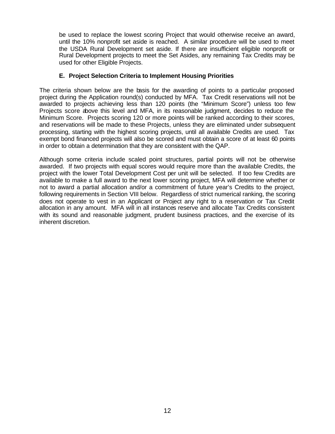be used to replace the lowest scoring Project that would otherwise receive an award, until the 10% nonprofit set aside is reached. A similar procedure will be used to meet the USDA Rural Development set aside. If there are insufficient eligible nonprofit or Rural Development projects to meet the Set Asides, any remaining Tax Credits may be used for other Eligible Projects.

# **E. Project Selection Criteria to Implement Housing Priorities**

The criteria shown below are the basis for the awarding of points to a particular proposed project during the Application round(s) conducted by MFA. Tax Credit reservations will not be awarded to projects achieving less than 120 points (the "Minimum Score") unless too few Projects score above this level and MFA, in its reasonable judgment, decides to reduce the Minimum Score. Projects scoring 120 or more points will be ranked according to their scores, and reservations will be made to these Projects, unless they are eliminated under subsequent processing, starting with the highest scoring projects, until all available Credits are used. Tax exempt bond financed projects will also be scored and must obtain a score of at least 60 points in order to obtain a determination that they are consistent with the QAP.

Although some criteria include scaled point structures, partial points will not be otherwise awarded. If two projects with equal scores would require more than the available Credits, the project with the lower Total Development Cost per unit will be selected. If too few Credits are available to make a full award to the next lower scoring project, MFA will determine whether or not to award a partial allocation and/or a commitment of future year's Credits to the project, following requirements in Section VIII below. Regardless of strict numerical ranking, the scoring does not operate to vest in an Applicant or Project any right to a reservation or Tax Credit allocation in any amount. MFA will in all instances reserve and allocate Tax Credits consistent with its sound and reasonable judgment, prudent business practices, and the exercise of its inherent discretion.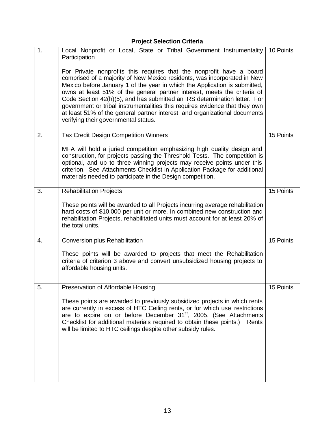# **Project Selection Criteria**

| 1. | Local Nonprofit or Local, State or Tribal Government Instrumentality<br>Participation                                                                                                                                                                                                                                                                                                                                                                                                                                                                                                        | 10 Points |
|----|----------------------------------------------------------------------------------------------------------------------------------------------------------------------------------------------------------------------------------------------------------------------------------------------------------------------------------------------------------------------------------------------------------------------------------------------------------------------------------------------------------------------------------------------------------------------------------------------|-----------|
|    | For Private nonprofits this requires that the nonprofit have a board<br>comprised of a majority of New Mexico residents, was incorporated in New<br>Mexico before January 1 of the year in which the Application is submitted,<br>owns at least 51% of the general partner interest, meets the criteria of<br>Code Section 42(h)(5), and has submitted an IRS determination letter. For<br>government or tribal instrumentalities this requires evidence that they own<br>at least 51% of the general partner interest, and organizational documents<br>verifying their governmental status. |           |
| 2. | <b>Tax Credit Design Competition Winners</b>                                                                                                                                                                                                                                                                                                                                                                                                                                                                                                                                                 | 15 Points |
|    | MFA will hold a juried competition emphasizing high quality design and<br>construction, for projects passing the Threshold Tests. The competition is<br>optional, and up to three winning projects may receive points under this<br>criterion. See Attachments Checklist in Application Package for additional<br>materials needed to participate in the Design competition.                                                                                                                                                                                                                 |           |
| 3. | <b>Rehabilitation Projects</b>                                                                                                                                                                                                                                                                                                                                                                                                                                                                                                                                                               | 15 Points |
|    | These points will be awarded to all Projects incurring average rehabilitation<br>hard costs of \$10,000 per unit or more. In combined new construction and<br>rehabilitation Projects, rehabilitated units must account for at least 20% of<br>the total units.                                                                                                                                                                                                                                                                                                                              |           |
| 4. | Conversion plus Rehabilitation                                                                                                                                                                                                                                                                                                                                                                                                                                                                                                                                                               | 15 Points |
|    | These points will be awarded to projects that meet the Rehabilitation<br>criteria of criterion 3 above and convert unsubsidized housing projects to<br>affordable housing units.                                                                                                                                                                                                                                                                                                                                                                                                             |           |
| 5. | Preservation of Affordable Housing                                                                                                                                                                                                                                                                                                                                                                                                                                                                                                                                                           | 15 Points |
|    | These points are awarded to previously subsidized projects in which rents<br>are currently in excess of HTC Ceiling rents, or for which use restrictions<br>are to expire on or before December 31 <sup>st</sup> , 2005. (See Attachments<br>Checklist for additional materials required to obtain these points.)<br>Rents<br>will be limited to HTC ceilings despite other subsidy rules.                                                                                                                                                                                                   |           |
|    |                                                                                                                                                                                                                                                                                                                                                                                                                                                                                                                                                                                              |           |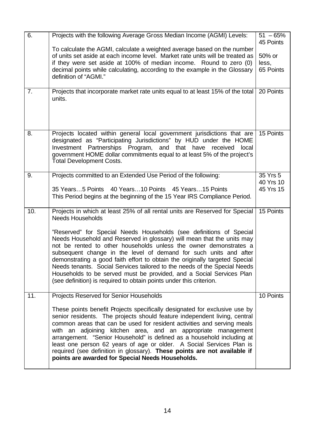| 6.  |                                                                                                                                                                                                                                                                                                                                                                                                                                                                                                                                                                                                    | $51 - 65%$ |
|-----|----------------------------------------------------------------------------------------------------------------------------------------------------------------------------------------------------------------------------------------------------------------------------------------------------------------------------------------------------------------------------------------------------------------------------------------------------------------------------------------------------------------------------------------------------------------------------------------------------|------------|
|     | Projects with the following Average Gross Median Income (AGMI) Levels:                                                                                                                                                                                                                                                                                                                                                                                                                                                                                                                             | 45 Points  |
|     | To calculate the AGMI, calculate a weighted average based on the number                                                                                                                                                                                                                                                                                                                                                                                                                                                                                                                            |            |
|     | of units set aside at each income level. Market rate units will be treated as                                                                                                                                                                                                                                                                                                                                                                                                                                                                                                                      | 50% or     |
|     | if they were set aside at 100% of median income. Round to zero (0)                                                                                                                                                                                                                                                                                                                                                                                                                                                                                                                                 | less,      |
|     | decimal points while calculating, according to the example in the Glossary                                                                                                                                                                                                                                                                                                                                                                                                                                                                                                                         | 65 Points  |
|     | definition of "AGMI."                                                                                                                                                                                                                                                                                                                                                                                                                                                                                                                                                                              |            |
| 7.  | Projects that incorporate market rate units equal to at least 15% of the total<br>units.                                                                                                                                                                                                                                                                                                                                                                                                                                                                                                           | 20 Points  |
|     |                                                                                                                                                                                                                                                                                                                                                                                                                                                                                                                                                                                                    |            |
| 8.  | Projects located within general local government jurisdictions that are<br>designated as "Participating Jurisdictions" by HUD under the HOME<br>Investment Partnerships Program, and that have received<br>local<br>government HOME dollar commitments equal to at least 5% of the project's<br><b>Total Development Costs.</b>                                                                                                                                                                                                                                                                    | 15 Points  |
| 9.  | Projects committed to an Extended Use Period of the following:                                                                                                                                                                                                                                                                                                                                                                                                                                                                                                                                     | 35 Yrs 5   |
|     |                                                                                                                                                                                                                                                                                                                                                                                                                                                                                                                                                                                                    | 40 Yrs 10  |
|     | 35 Years5 Points 40 Years10 Points 45 Years15 Points<br>This Period begins at the beginning of the 15 Year IRS Compliance Period.                                                                                                                                                                                                                                                                                                                                                                                                                                                                  | 45 Yrs 15  |
| 10. | Projects in which at least 25% of all rental units are Reserved for Special<br><b>Needs Households</b>                                                                                                                                                                                                                                                                                                                                                                                                                                                                                             | 15 Points  |
|     | "Reserved" for Special Needs Households (see definitions of Special<br>Needs Household and Reserved in glossary) will mean that the units may<br>not be rented to other households unless the owner demonstrates a<br>subsequent change in the level of demand for such units and after<br>demonstrating a good faith effort to obtain the originally targeted Special<br>Needs tenants. Social Services tailored to the needs of the Special Needs<br>Households to be served must be provided, and a Social Services Plan<br>(see definition) is required to obtain points under this criterion. |            |
| 11. | Projects Reserved for Senior Households                                                                                                                                                                                                                                                                                                                                                                                                                                                                                                                                                            | 10 Points  |
|     | These points benefit Projects specifically designated for exclusive use by<br>senior residents. The projects should feature independent living, central<br>common areas that can be used for resident activities and serving meals<br>with an adjoining kitchen area, and an appropriate management<br>arrangement. "Senior Household" is defined as a household including at<br>least one person 62 years of age or older. A Social Services Plan is<br>required (see definition in glossary). These points are not available if<br>points are awarded for Special Needs Households.              |            |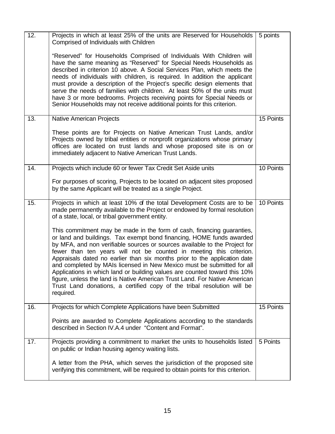| 12. | Projects in which at least 25% of the units are Reserved for Households<br>Comprised of Individuals with Children                                                                                                                                                                                                                                                                                                                                                                                                                                                                                                                                                                                             | 5 points  |
|-----|---------------------------------------------------------------------------------------------------------------------------------------------------------------------------------------------------------------------------------------------------------------------------------------------------------------------------------------------------------------------------------------------------------------------------------------------------------------------------------------------------------------------------------------------------------------------------------------------------------------------------------------------------------------------------------------------------------------|-----------|
|     | "Reserved" for Households Comprised of Individuals With Children will<br>have the same meaning as "Reserved" for Special Needs Households as<br>described in criterion 10 above. A Social Services Plan, which meets the<br>needs of individuals with children, is required. In addition the applicant<br>must provide a description of the Project's specific design elements that<br>serve the needs of families with children. At least 50% of the units must<br>have 3 or more bedrooms. Projects receiving points for Special Needs or<br>Senior Households may not receive additional points for this criterion.                                                                                        |           |
| 13. | Native American Projects                                                                                                                                                                                                                                                                                                                                                                                                                                                                                                                                                                                                                                                                                      | 15 Points |
|     | These points are for Projects on Native American Trust Lands, and/or<br>Projects owned by tribal entities or nonprofit organizations whose primary<br>offices are located on trust lands and whose proposed site is on or<br>immediately adjacent to Native American Trust Lands.                                                                                                                                                                                                                                                                                                                                                                                                                             |           |
| 14. | Projects which include 60 or fewer Tax Credit Set Aside units                                                                                                                                                                                                                                                                                                                                                                                                                                                                                                                                                                                                                                                 | 10 Points |
|     | For purposes of scoring, Projects to be located on adjacent sites proposed<br>by the same Applicant will be treated as a single Project.                                                                                                                                                                                                                                                                                                                                                                                                                                                                                                                                                                      |           |
| 15. | Projects in which at least 10% of the total Development Costs are to be<br>made permanently available to the Project or endowed by formal resolution<br>of a state, local, or tribal government entity.                                                                                                                                                                                                                                                                                                                                                                                                                                                                                                       | 10 Points |
|     | This commitment may be made in the form of cash, financing guaranties,<br>or land and buildings. Tax exempt bond financing, HOME funds awarded<br>by MFA, and non verifiable sources or sources available to the Project for<br>fewer than ten years will not be counted in meeting this criterion.<br>Appraisals dated no earlier than six months prior to the application date<br>and completed by MAIs licensed in New Mexico must be submitted for all<br>Applications in which land or building values are counted toward this 10%<br>figure, unless the land is Native American Trust Land. For Native American<br>Trust Land donations, a certified copy of the tribal resolution will be<br>required. |           |
| 16. | Projects for which Complete Applications have been Submitted                                                                                                                                                                                                                                                                                                                                                                                                                                                                                                                                                                                                                                                  | 15 Points |
|     | Points are awarded to Complete Applications according to the standards<br>described in Section IV.A.4 under "Content and Format".                                                                                                                                                                                                                                                                                                                                                                                                                                                                                                                                                                             |           |
| 17. | Projects providing a commitment to market the units to households listed<br>on public or Indian housing agency waiting lists.                                                                                                                                                                                                                                                                                                                                                                                                                                                                                                                                                                                 | 5 Points  |
|     | A letter from the PHA, which serves the jurisdiction of the proposed site<br>verifying this commitment, will be required to obtain points for this criterion.                                                                                                                                                                                                                                                                                                                                                                                                                                                                                                                                                 |           |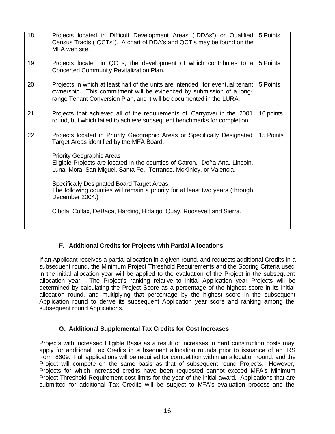| 18. | Projects located in Difficult Development Areas ("DDAs") or Qualified<br>Census Tracts ("QCTs"). A chart of DDA's and QCT's may be found on the<br>MFA web site.                                                                                                                                                                                                                                                                                                                                                                                 | 5 Points  |
|-----|--------------------------------------------------------------------------------------------------------------------------------------------------------------------------------------------------------------------------------------------------------------------------------------------------------------------------------------------------------------------------------------------------------------------------------------------------------------------------------------------------------------------------------------------------|-----------|
| 19. | Projects located in QCTs, the development of which contributes to a<br>Concerted Community Revitalization Plan.                                                                                                                                                                                                                                                                                                                                                                                                                                  | 5 Points  |
| 20. | Projects in which at least half of the units are intended for eventual tenant<br>ownership. This commitment will be evidenced by submission of a long-<br>range Tenant Conversion Plan, and it will be documented in the LURA.                                                                                                                                                                                                                                                                                                                   | 5 Points  |
| 21. | Projects that achieved all of the requirements of Carryover in the 2001<br>round, but which failed to achieve subsequent benchmarks for completion.                                                                                                                                                                                                                                                                                                                                                                                              | 10 points |
| 22. | Projects located in Priority Geographic Areas or Specifically Designated<br>Target Areas identified by the MFA Board.<br><b>Priority Geographic Areas</b><br>Eligible Projects are located in the counties of Catron, Doña Ana, Lincoln,<br>Luna, Mora, San Miguel, Santa Fe, Torrance, McKinley, or Valencia.<br><b>Specifically Designated Board Target Areas</b><br>The following counties will remain a priority for at least two years (through<br>December 2004.)<br>Cibola, Colfax, DeBaca, Harding, Hidalgo, Quay, Roosevelt and Sierra. | 15 Points |

# **F. Additional Credits for Projects with Partial Allocations**

If an Applicant receives a partial allocation in a given round, and requests additional Credits in a subsequent round, the Minimum Project Threshold Requirements and the Scoring Criteria used in the initial allocation year will be applied to the evaluation of the Project in the subsequent allocation year. The Project's ranking relative to initial Application year Projects will be determined by calculating the Project Score as a percentage of the highest score in its initial allocation round, and multiplying that percentage by the highest score in the subsequent Application round to derive its subsequent Application year score and ranking among the subsequent round Applications.

#### **G. Additional Supplemental Tax Credits for Cost Increases**

Projects with increased Eligible Basis as a result of increases in hard construction costs may apply for additional Tax Credits in subsequent allocation rounds prior to issuance of an IRS Form 8609. Full applications will be required for competition within an allocation round, and the Project will compete on the same basis as that of subsequent round Projects. However, Projects for which increased credits have been requested cannot exceed MFA's Minimum Project Threshold Requirement cost limits for the year of the initial award. Applications that are submitted for additional Tax Credits will be subject to MFA's evaluation process and the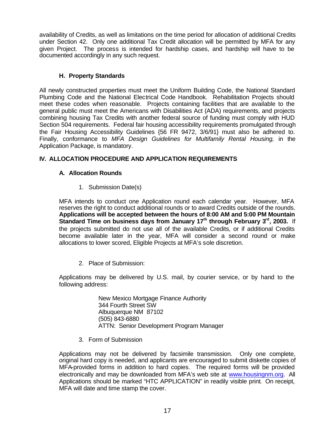availability of Credits, as well as limitations on the time period for allocation of additional Credits under Section 42. Only one additional Tax Credit allocation will be permitted by MFA for any given Project. The process is intended for hardship cases, and hardship will have to be documented accordingly in any such request.

# **H. Property Standards**

All newly constructed properties must meet the Uniform Building Code, the National Standard Plumbing Code and the National Electrical Code Handbook. Rehabilitation Projects should meet these codes when reasonable. Projects containing facilities that are available to the general public must meet the Americans with Disabilities Act (ADA) requirements, and projects combining housing Tax Credits with another federal source of funding must comply with HUD Section 504 requirements. Federal fair housing accessibility requirements promulgated through the Fair Housing Accessibility Guidelines {56 FR 9472, 3/6/91} must also be adhered to. Finally, conformance to *MFA Design Guidelines for Multifamily Rental Housing,* in the Application Package, is mandatory.

# **IV. ALLOCATION PROCEDURE AND APPLICATION REQUIREMENTS**

# **A. Allocation Rounds**

1. Submission Date(s)

MFA intends to conduct one Application round each calendar year. However, MFA reserves the right to conduct additional rounds or to award Credits outside of the rounds. **Applications will be accepted between the hours of 8:00 AM and 5:00 PM Mountain Standard Time on business days from January 17th through February 3rd, 2003.** If the projects submitted do not use all of the available Credits, or if additional Credits become available later in the year, MFA will consider a second round or make allocations to lower scored, Eligible Projects at MFA's sole discretion.

2. Place of Submission:

Applications may be delivered by U.S. mail, by courier service, or by hand to the following address:

> New Mexico Mortgage Finance Authority 344 Fourth Street SW Albuquerque NM 87102 (505) 843-6880 ATTN: Senior Development Program Manager

3. Form of Submission

Applications may not be delivered by facsimile transmission. Only one complete, original hard copy is needed, and applicants are encouraged to submit diskette copies of MFA-provided forms in addition to hard copies. The required forms will be provided electronically and may be downloaded from MFA's web site at www.housingnm.org. All Applications should be marked "HTC APPLICATION" in readily visible print. On receipt, MFA will date and time stamp the cover.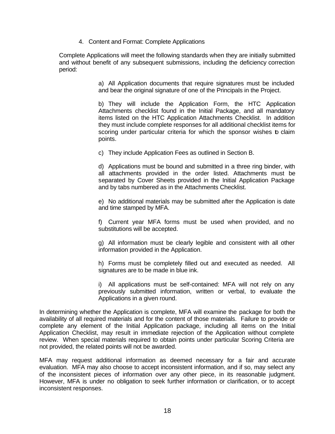4. Content and Format: Complete Applications

Complete Applications will meet the following standards when they are initially submitted and without benefit of any subsequent submissions, including the deficiency correction period:

> a) All Application documents that require signatures must be included and bear the original signature of one of the Principals in the Project.

> b) They will include the Application Form, the HTC Application Attachments checklist found in the Initial Package, and all mandatory items listed on the HTC Application Attachments Checklist. In addition they must include complete responses for all additional checklist items for scoring under particular criteria for which the sponsor wishes to claim points.

c) They include Application Fees as outlined in Section B.

d) Applications must be bound and submitted in a three ring binder, with all attachments provided in the order listed. Attachments must be separated by Cover Sheets provided in the Initial Application Package and by tabs numbered as in the Attachments Checklist.

e) No additional materials may be submitted after the Application is date and time stamped by MFA.

f) Current year MFA forms must be used when provided, and no substitutions will be accepted.

g) All information must be clearly legible and consistent with all other information provided in the Application.

h) Forms must be completely filled out and executed as needed. All signatures are to be made in blue ink.

i) All applications must be self-contained: MFA will not rely on any previously submitted information, written or verbal, to evaluate the Applications in a given round.

In determining whether the Application is complete, MFA will examine the package for both the availability of all required materials and for the content of those materials. Failure to provide or complete any element of the Initial Application package, including all items on the Initial Application Checklist, may result in immediate rejection of the Application without complete review. When special materials required to obtain points under particular Scoring Criteria are not provided, the related points will not be awarded.

MFA may request additional information as deemed necessary for a fair and accurate evaluation. MFA may also choose to accept inconsistent information, and if so, may select any of the inconsistent pieces of information over any other piece, in its reasonable judgment. However, MFA is under no obligation to seek further information or clarification, or to accept inconsistent responses.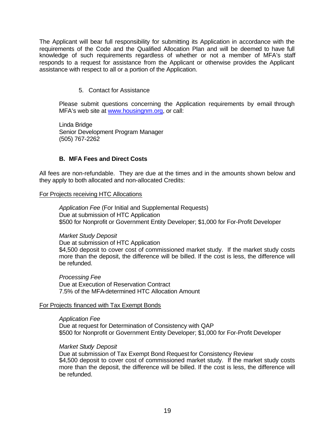The Applicant will bear full responsibility for submitting its Application in accordance with the requirements of the Code and the Qualified Allocation Plan and will be deemed to have full knowledge of such requirements regardless of whether or not a member of MFA's staff responds to a request for assistance from the Applicant or otherwise provides the Applicant assistance with respect to all or a portion of the Application.

#### 5. Contact for Assistance

Please submit questions concerning the Application requirements by email through MFA's web site at www.housingnm.org, or call:

Linda Bridge Senior Development Program Manager (505) 767-2262

#### **B. MFA Fees and Direct Costs**

All fees are non-refundable. They are due at the times and in the amounts shown below and they apply to both allocated and non-allocated Credits:

#### For Projects receiving HTC Allocations

*Application Fee* (For Initial and Supplemental Requests) Due at submission of HTC Application \$500 for Nonprofit or Government Entity Developer; \$1,000 for For-Profit Developer

#### *Market Study Deposit*

Due at submission of HTC Application \$4,500 deposit to cover cost of commissioned market study. If the market study costs more than the deposit, the difference will be billed. If the cost is less, the difference will be refunded.

*Processing Fee* Due at Execution of Reservation Contract 7.5% of the MFA-determined HTC Allocation Amount

#### For Projects financed with Tax Exempt Bonds

*Application Fee* Due at request for Determination of Consistency with QAP \$500 for Nonprofit or Government Entity Developer; \$1,000 for For-Profit Developer

#### *Market Study Deposit*

Due at submission of Tax Exempt Bond Request for Consistency Review \$4,500 deposit to cover cost of commissioned market study. If the market study costs more than the deposit, the difference will be billed. If the cost is less, the difference will be refunded.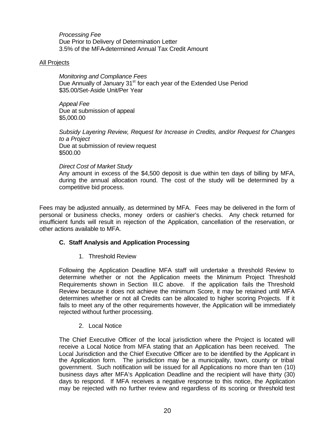*Processing Fee* Due Prior to Delivery of Determination Letter 3.5% of the MFA-determined Annual Tax Credit Amount

#### All Projects

*Monitoring and Compliance Fees* Due Annually of January 31<sup>st</sup> for each year of the Extended Use Period \$35.00/Set-Aside Unit/Per Year

*Appeal Fee* Due at submission of appeal \$5,000.00

*Subsidy Layering Review, Request for Increase in Credits, and/or Request for Changes to a Project* Due at submission of review request \$500.00

#### *Direct Cost of Market Study*

Any amount in excess of the \$4,500 deposit is due within ten days of billing by MFA, during the annual allocation round. The cost of the study will be determined by a competitive bid process.

Fees may be adjusted annually, as determined by MFA. Fees may be delivered in the form of personal or business checks, money orders or cashier's checks. Any check returned for insufficient funds will result in rejection of the Application, cancellation of the reservation, or other actions available to MFA.

#### **C. Staff Analysis and Application Processing**

1. Threshold Review

Following the Application Deadline MFA staff will undertake a threshold Review to determine whether or not the Application meets the Minimum Project Threshold Requirements shown in Section III.C above. If the application fails the Threshold Review because it does not achieve the minimum Score, it may be retained until MFA determines whether or not all Credits can be allocated to higher scoring Projects. If it fails to meet any of the other requirements however, the Application will be immediately rejected without further processing.

#### 2. Local Notice

The Chief Executive Officer of the local jurisdiction where the Project is located will receive a Local Notice from MFA stating that an Application has been received. The Local Jurisdiction and the Chief Executive Officer are to be identified by the Applicant in the Application form. The jurisdiction may be a municipality, town, county or tribal government. Such notification will be issued for all Applications no more than ten (10) business days after MFA's Application Deadline and the recipient will have thirty (30) days to respond. If MFA receives a negative response to this notice, the Application may be rejected with no further review and regardless of its scoring or threshold test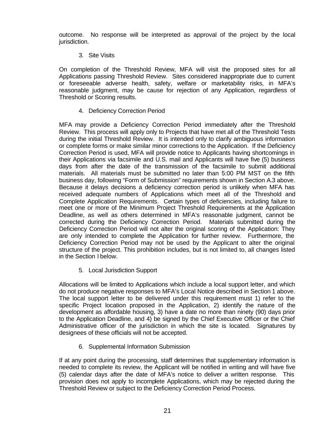outcome. No response will be interpreted as approval of the project by the local jurisdiction.

#### 3. Site Visits

On completion of the Threshold Review, MFA will visit the proposed sites for all Applications passing Threshold Review. Sites considered inappropriate due to current or foreseeable adverse health, safety, welfare or marketability risks, in MFA's reasonable judgment, may be cause for rejection of any Application, regardless of Threshold or Scoring results.

# 4. Deficiency Correction Period

MFA may provide a Deficiency Correction Period immediately after the Threshold Review. This process will apply only to Projects that have met all of the Threshold Tests during the initial Threshold Review. It is intended only to clarify ambiguous information or complete forms or make similar minor corrections to the Application. If the Deficiency Correction Period is used, MFA will provide notice to Applicants having shortcomings in their Applications via facsimile and U.S. mail and Applicants will have five (5) business days from after the date of the transmission of the facsimile to submit additional materials. All materials must be submitted no later than 5:00 PM MST on the fifth business day, following "Form of Submission" requirements shown in Section A.3 above. Because it delays decisions a deficiency correction period is unlikely when MFA has received adequate numbers of Applications which meet all of the Threshold and Complete Application Requirements. Certain types of deficiencies, including failure to meet one or more of the Minimum Project Threshold Requirements at the Application Deadline, as well as others determined in MFA's reasonable judgment, cannot be corrected during the Deficiency Correction Period. Materials submitted during the Deficiency Correction Period will not alter the original scoring of the Application: They are only intended to complete the Application for further review. Furthermore, the Deficiency Correction Period may not be used by the Applicant to alter the original structure of the project. This prohibition includes, but is not limited to, all changes listed in the Section I below.

5. Local Jurisdiction Support

Allocations will be limited to Applications which include a local support letter, and which do not produce negative responses to MFA's Local Notice described in Section 1 above. The local support letter to be delivered under this requirement must 1) refer to the specific Project location proposed in the Application, 2) identify the nature of the development as affordable housing, 3) have a date no more than ninety (90) days prior to the Application Deadline, and 4) be signed by the Chief Executive Officer or the Chief Administrative officer of the jurisdiction in which the site is located. Signatures by designees of these officials will not be accepted.

6. Supplemental Information Submission

If at any point during the processing, staff determines that supplementary information is needed to complete its review, the Applicant will be notified in writing and will have five (5) calendar days after the date of MFA's notice to deliver a written response. This provision does not apply to incomplete Applications, which may be rejected during the Threshold Review or subject to the Deficiency Correction Period Process.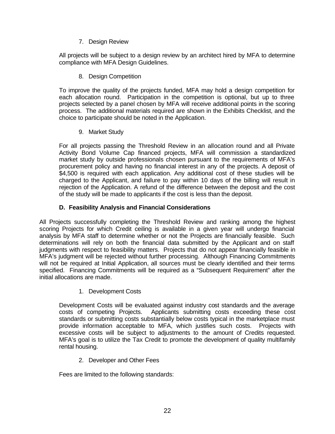7. Design Review

All projects will be subject to a design review by an architect hired by MFA to determine compliance with MFA Design Guidelines.

8. Design Competition

To improve the quality of the projects funded, MFA may hold a design competition for each allocation round. Participation in the competition is optional, but up to three projects selected by a panel chosen by MFA will receive additional points in the scoring process. The additional materials required are shown in the Exhibits Checklist, and the choice to participate should be noted in the Application.

9. Market Study

For all projects passing the Threshold Review in an allocation round and all Private Activity Bond Volume Cap financed projects, MFA will commission a standardized market study by outside professionals chosen pursuant to the requirements of MFA's procurement policy and having no financial interest in any of the projects. A deposit of \$4,500 is required with each application. Any additional cost of these studies will be charged to the Applicant, and failure to pay within 10 days of the billing will result in rejection of the Application. A refund of the difference between the deposit and the cost of the study will be made to applicants if the cost is less than the deposit.

# **D. Feasibility Analysis and Financial Considerations**

All Projects successfully completing the Threshold Review and ranking among the highest scoring Projects for which Credit ceiling is available in a given year will undergo financial analysis by MFA staff to determine whether or not the Projects are financially feasible. Such determinations will rely on both the financial data submitted by the Applicant and on staff judgments with respect to feasibility matters. Projects that do not appear financially feasible in MFA's judgment will be rejected without further processing. Although Financing Commitments will not be required at Initial Application, all sources must be clearly identified and their terms specified. Financing Commitments will be required as a "Subsequent Requirement" after the initial allocations are made.

1. Development Costs

Development Costs will be evaluated against industry cost standards and the average costs of competing Projects. Applicants submitting costs exceeding these cost standards or submitting costs substantially below costs typical in the marketplace must provide information acceptable to MFA, which justifies such costs. Projects with excessive costs will be subject to adjustments to the amount of Credits requested. MFA's goal is to utilize the Tax Credit to promote the development of quality multifamily rental housing.

2. Developer and Other Fees

Fees are limited to the following standards: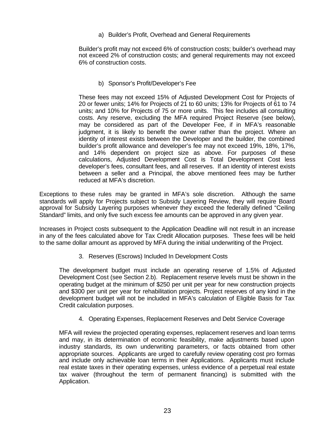a) Builder's Profit, Overhead and General Requirements

Builder's profit may not exceed 6% of construction costs; builder's overhead may not exceed 2% of construction costs; and general requirements may not exceed 6% of construction costs.

b) Sponsor's Profit/Developer's Fee

These fees may not exceed 15% of Adjusted Development Cost for Projects of 20 or fewer units; 14% for Projects of 21 to 60 units; 13% for Projects of 61 to 74 units; and 10% for Projects of 75 or more units. This fee includes all consulting costs. Any reserve, excluding the MFA required Project Reserve (see below), may be considered as part of the Developer Fee, if in MFA's reasonable judgment, it is likely to benefit the owner rather than the project. Where an identity of interest exists between the Developer and the builder, the combined builder's profit allowance and developer's fee may not exceed 19%, 18%, 17%, and 14% dependent on project size as above. For purposes of these calculations, Adjusted Development Cost is Total Development Cost less developer's fees, consultant fees, and all reserves. If an identity of interest exists between a seller and a Principal, the above mentioned fees may be further reduced at MFA's discretion.

Exceptions to these rules may be granted in MFA's sole discretion. Although the same standards will apply for Projects subject to Subsidy Layering Review, they will require Board approval for Subsidy Layering purposes whenever they exceed the federally defined "Ceiling Standard" limits, and only five such excess fee amounts can be approved in any given year.

Increases in Project costs subsequent to the Application Deadline will not result in an increase in any of the fees calculated above for Tax Credit Allocation purposes. These fees will be held to the same dollar amount as approved by MFA during the initial underwriting of the Project.

3. Reserves (Escrows) Included In Development Costs

The development budget must include an operating reserve of 1.5% of Adjusted Development Cost (see Section 2.b). Replacement reserve levels must be shown in the operating budget at the minimum of \$250 per unit per year for new construction projects and \$300 per unit per year for rehabilitation projects. Project reserves of any kind in the development budget will not be included in MFA's calculation of Eligible Basis for Tax Credit calculation purposes.

4. Operating Expenses, Replacement Reserves and Debt Service Coverage

MFA will review the projected operating expenses, replacement reserves and loan terms and may, in its determination of economic feasibility, make adjustments based upon industry standards, its own underwriting parameters, or facts obtained from other appropriate sources. Applicants are urged to carefully review operating cost pro formas and include only achievable loan terms in their Applications. Applicants must include real estate taxes in their operating expenses, unless evidence of a perpetual real estate tax waiver (throughout the term of permanent financing) is submitted with the Application.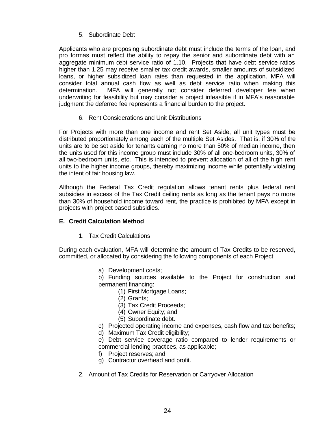# 5. Subordinate Debt

Applicants who are proposing subordinate debt must include the terms of the loan, and pro formas must reflect the ability to repay the senior and subordinate debt with an aggregate minimum debt service ratio of 1.10. Projects that have debt service ratios higher than 1.25 may receive smaller tax credit awards, smaller amounts of subsidized loans, or higher subsidized loan rates than requested in the application. MFA will consider total annual cash flow as well as debt service ratio when making this determination. MFA will generally not consider deferred developer fee when underwriting for feasibility but may consider a project infeasible if in MFA's reasonable judgment the deferred fee represents a financial burden to the project.

# 6. Rent Considerations and Unit Distributions

For Projects with more than one income and rent Set Aside, all unit types must be distributed proportionately among each of the multiple Set Asides. That is, if 30% of the units are to be set aside for tenants earning no more than 50% of median income, then the units used for this income group must include 30% of all one-bedroom units, 30% of all two-bedroom units, etc. This is intended to prevent allocation of all of the high rent units to the higher income groups, thereby maximizing income while potentially violating the intent of fair housing law.

Although the Federal Tax Credit regulation allows tenant rents plus federal rent subsidies in excess of the Tax Credit ceiling rents as long as the tenant pays no more than 30% of household income toward rent, the practice is prohibited by MFA except in projects with project based subsidies.

#### **E. Credit Calculation Method**

1. Tax Credit Calculations

During each evaluation, MFA will determine the amount of Tax Credits to be reserved, committed, or allocated by considering the following components of each Project:

a) Development costs;

b) Funding sources available to the Project for construction and permanent financing:

- (1) First Mortgage Loans;
- (2) Grants;
- (3) Tax Credit Proceeds;
- (4) Owner Equity; and
- (5) Subordinate debt.
- c) Projected operating income and expenses, cash flow and tax benefits;
- d) Maximum Tax Credit eligibility;

e) Debt service coverage ratio compared to lender requirements or commercial lending practices, as applicable;

- f) Project reserves; and
- g) Contractor overhead and profit.
- 2. Amount of Tax Credits for Reservation or Carryover Allocation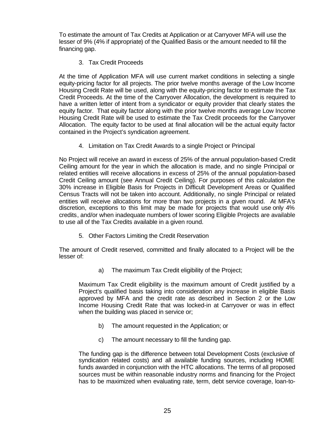To estimate the amount of Tax Credits at Application or at Carryover MFA will use the lesser of 9% (4% if appropriate) of the Qualified Basis or the amount needed to fill the financing gap.

# 3. Tax Credit Proceeds

At the time of Application MFA will use current market conditions in selecting a single equity-pricing factor for all projects. The prior twelve months average of the Low Income Housing Credit Rate will be used, along with the equity-pricing factor to estimate the Tax Credit Proceeds. At the time of the Carryover Allocation, the development is required to have a written letter of intent from a syndicator or equity provider that clearly states the equity factor. That equity factor along with the prior twelve months average Low Income Housing Credit Rate will be used to estimate the Tax Credit proceeds for the Carryover Allocation. The equity factor to be used at final allocation will be the actual equity factor contained in the Project's syndication agreement.

4. Limitation on Tax Credit Awards to a single Project or Principal

No Project will receive an award in excess of 25% of the annual population-based Credit Ceiling amount for the year in which the allocation is made, and no single Principal or related entities will receive allocations in excess of 25% of the annual population-based Credit Ceiling amount (see Annual Credit Ceiling). For purposes of this calculation the 30% increase in Eligible Basis for Projects in Difficult Development Areas or Qualified Census Tracts will not be taken into account. Additionally, no single Principal or related entities will receive allocations for more than two projects in a given round. At MFA's discretion, exceptions to this limit may be made for projects that would use only 4% credits, and/or when inadequate numbers of lower scoring Eligible Projects are available to use all of the Tax Credits available in a given round.

5. Other Factors Limiting the Credit Reservation

The amount of Credit reserved, committed and finally allocated to a Project will be the lesser of:

a) The maximum Tax Credit eligibility of the Project;

Maximum Tax Credit eligibility is the maximum amount of Credit justified by a Project's qualified basis taking into consideration any increase in eligible Basis approved by MFA and the credit rate as described in Section 2 or the Low Income Housing Credit Rate that was locked-in at Carryover or was in effect when the building was placed in service or;

- b) The amount requested in the Application; or
- c) The amount necessary to fill the funding gap.

The funding gap is the difference between total Development Costs (exclusive of syndication related costs) and all available funding sources, including HOME funds awarded in conjunction with the HTC allocations. The terms of all proposed sources must be within reasonable industry norms and financing for the Project has to be maximized when evaluating rate, term, debt service coverage, loan-to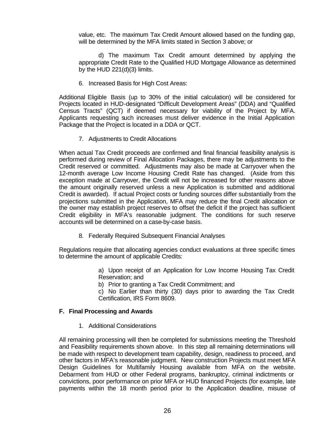value, etc. The maximum Tax Credit Amount allowed based on the funding gap, will be determined by the MFA limits stated in Section 3 above; or

d) The maximum Tax Credit amount determined by applying the appropriate Credit Rate to the Qualified HUD Mortgage Allowance as determined by the HUD 221(d)(3) limits.

6. Increased Basis for High Cost Areas:

Additional Eligible Basis (up to 30% of the initial calculation) will be considered for Projects located in HUD-designated "Difficult Development Areas" (DDA) and "Qualified Census Tracts" (QCT) if deemed necessary for viability of the Project by MFA. Applicants requesting such increases must deliver evidence in the Initial Application Package that the Project is located in a DDA or QCT.

7. Adjustments to Credit Allocations

When actual Tax Credit proceeds are confirmed and final financial feasibility analysis is performed during review of Final Allocation Packages, there may be adjustments to the Credit reserved or committed. Adjustments may also be made at Carryover when the 12-month average Low Income Housing Credit Rate has changed. (Aside from this exception made at Carryover, the Credit will not be increased for other reasons above the amount originally reserved unless a new Application is submitted and additional Credit is awarded). If actual Project costs or funding sources differ substantially from the projections submitted in the Application, MFA may reduce the final Credit allocation or the owner may establish project reserves to offset the deficit if the project has sufficient Credit eligibility in MFA's reasonable judgment. The conditions for such reserve accounts will be determined on a case-by-case basis.

8. Federally Required Subsequent Financial Analyses

Regulations require that allocating agencies conduct evaluations at three specific times to determine the amount of applicable Credits:

> a) Upon receipt of an Application for Low Income Housing Tax Credit Reservation; and

b) Prior to granting a Tax Credit Commitment; and

c) No Earlier than thirty (30) days prior to awarding the Tax Credit Certification, IRS Form 8609.

#### **F. Final Processing and Awards**

1. Additional Considerations

All remaining processing will then be completed for submissions meeting the Threshold and Feasibility requirements shown above. In this step all remaining determinations will be made with respect to development team capability, design, readiness to proceed, and other factors in MFA's reasonable judgment. New construction Projects must meet MFA Design Guidelines for Multifamily Housing available from MFA on the website. Debarment from HUD or other Federal programs, bankruptcy, criminal indictments or convictions, poor performance on prior MFA or HUD financed Projects (for example, late payments within the 18 month period prior to the Application deadline, misuse of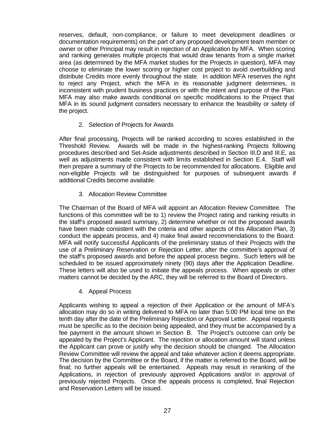reserves, default, non-compliance, or failure to meet development deadlines or documentation requirements) on the part of any proposed development team member or owner or other Principal may result in rejection of an Application by MFA. When scoring and ranking generates multiple projects that would draw tenants from a single market area (as determined by the MFA market studies for the Projects in question), MFA may choose to eliminate the lower scoring or higher cost project to avoid overbuilding and distribute Credits more evenly throughout the state. In addition MFA reserves the right to reject any Project, which the MFA in its reasonable judgment determines, is inconsistent with prudent business practices or with the intent and purpose of the Plan. MFA may also make awards conditional on specific modifications to the Project that MFA in its sound judgment considers necessary to enhance the feasibility or safety of the project.

# 2. Selection of Projects for Awards

After final processing, Projects will be ranked according to scores established in the Threshold Review. Awards will be made in the highest-ranking Projects following procedures described and Set-Aside adjustments described in Section III.D and III.E, as well as adjustments made consistent with limits established in Section E.4. Staff will then prepare a summary of the Projects to be recommended for allocations. Eligible and non-eligible Projects will be distinguished for purposes of subsequent awards if additional Credits become available.

# 3. Allocation Review Committee

The Chairman of the Board of MFA will appoint an Allocation Review Committee. The functions of this committee will be to 1) review the Project rating and ranking results in the staff's proposed award summary, 2) determine whether or not the proposed awards have been made consistent with the criteria and other aspects of this Allocation Plan, 3) conduct the appeals process, and 4) make final award recommendations to the Board. MFA will notify successful Applicants of the preliminary status of their Projects with the use of a Preliminary Reservation or Rejection Letter, after the committee's approval of the staff's proposed awards and before the appeal process begins. Such letters will be scheduled to be issued approximately ninety (90) days after the Application Deadline. These letters will also be used to initiate the appeals process. When appeals or other matters cannot be decided by the ARC, they will be referred to the Board of Directors.

4. Appeal Process

Applicants wishing to appeal a rejection of their Application or the amount of MFA's allocation may do so in writing delivered to MFA no later than 5:00 PM local time on the tenth day after the date of the Preliminary Rejection or Approval Letter. Appeal requests must be specific as to the decision being appealed, and they must be accompanied by a fee payment in the amount shown in Section B. The Project's outcome can only be appealed by the Project's Applicant. The rejection or allocation amount will stand unless the Applicant can prove or justify why the decision should be changed. The Allocation Review Committee will review the appeal and take whatever action it deems appropriate. The decision by the Committee or the Board, if the matter is referred to the Board, will be final; no further appeals will be entertained. Appeals may result in reranking of the Applications, in rejection of previously approved Applications and/or in approval of previously rejected Projects. Once the appeals process is completed, final Rejection and Reservation Letters will be issued.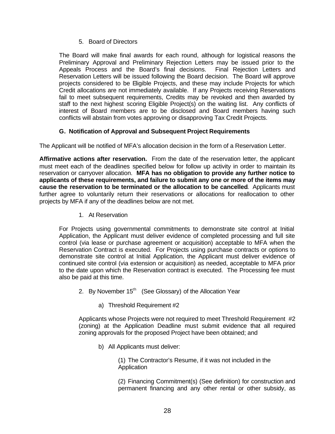5. Board of Directors

The Board will make final awards for each round, although for logistical reasons the Preliminary Approval and Preliminary Rejection Letters may be issued prior to the Appeals Process and the Board's final decisions. Final Rejection Letters and Reservation Letters will be issued following the Board decision. The Board will approve projects considered to be Eligible Projects, and these may include Projects for which Credit allocations are not immediately available. If any Projects receiving Reservations fail to meet subsequent requirements, Credits may be revoked and then awarded by staff to the next highest scoring Eligible Project(s) on the waiting list. Any conflicts of interest of Board members are to be disclosed and Board members having such conflicts will abstain from votes approving or disapproving Tax Credit Projects.

# **G. Notification of Approval and Subsequent Project Requirements**

The Applicant will be notified of MFA's allocation decision in the form of a Reservation Letter.

**Affirmative actions after reservation.** From the date of the reservation letter, the applicant must meet each of the deadlines specified below for follow up activity in order to maintain its reservation or carryover allocation. **MFA has no obligation to provide any further notice to applicants of these requirements, and failure to submit any one or more of the items may cause the reservation to be terminated or the allocation to be cancelled**. Applicants must further agree to voluntarily return their reservations or allocations for reallocation to other projects by MFA if any of the deadlines below are not met.

1. At Reservation

For Projects using governmental commitments to demonstrate site control at Initial Application, the Applicant must deliver evidence of completed processing and full site control (via lease or purchase agreement or acquisition) acceptable to MFA when the Reservation Contract is executed. For Projects using purchase contracts or options to demonstrate site control at Initial Application, the Applicant must deliver evidence of continued site control (via extension or acquisition) as needed, acceptable to MFA prior to the date upon which the Reservation contract is executed. The Processing fee must also be paid at this time.

- 2. By November  $15<sup>th</sup>$  (See Glossary) of the Allocation Year
	- a) Threshold Requirement #2

Applicants whose Projects were not required to meet Threshold Requirement #2 (zoning) at the Application Deadline must submit evidence that all required zoning approvals for the proposed Project have been obtained; and

b) All Applicants must deliver:

(1) The Contractor's Resume, if it was not included in the Application

(2) Financing Commitment(s) (See definition) for construction and permanent financing and any other rental or other subsidy, as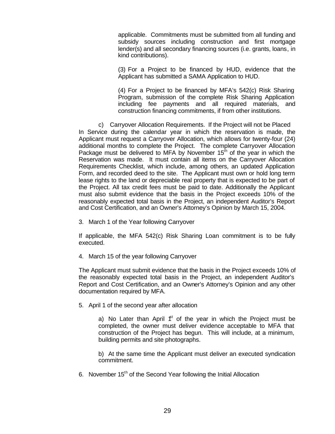applicable. Commitments must be submitted from all funding and subsidy sources including construction and first mortgage lender(s) and all secondary financing sources (i.e. grants, loans, in kind contributions).

(3) For a Project to be financed by HUD, evidence that the Applicant has submitted a SAMA Application to HUD.

(4) For a Project to be financed by MFA's 542(c) Risk Sharing Program, submission of the complete Risk Sharing Application including fee payments and all required materials, and construction financing commitments, if from other institutions.

c) Carryover Allocation Requirements. If the Project will not be Placed In Service during the calendar year in which the reservation is made, the Applicant must request a Carryover Allocation, which allows for twenty-four (24) additional months to complete the Project. The complete Carryover Allocation Package must be delivered to MFA by November  $15<sup>th</sup>$  of the year in which the Reservation was made. It must contain all items on the Carryover Allocation Requirements Checklist, which include, among others, an updated Application Form, and recorded deed to the site. The Applicant must own or hold long term lease rights to the land or depreciable real property that is expected to be part of the Project. All tax credit fees must be paid to date. Additionally the Applicant must also submit evidence that the basis in the Project exceeds 10% of the reasonably expected total basis in the Project, an independent Auditor's Report and Cost Certification, and an Owner's Attorney's Opinion by March 15, 2004.

3. March 1 of the Year following Carryover

If applicable, the MFA 542(c) Risk Sharing Loan commitment is to be fully executed.

4. March 15 of the year following Carryover

The Applicant must submit evidence that the basis in the Project exceeds 10% of the reasonably expected total basis in the Project, an independent Auditor's Report and Cost Certification, and an Owner's Attorney's Opinion and any other documentation required by MFA.

5. April 1 of the second year after allocation

a) No Later than April  $f<sup>t</sup>$  of the year in which the Project must be completed, the owner must deliver evidence acceptable to MFA that construction of the Project has begun. This will include, at a minimum, building permits and site photographs.

b) At the same time the Applicant must deliver an executed syndication commitment.

6. November 15th of the Second Year following the Initial Allocation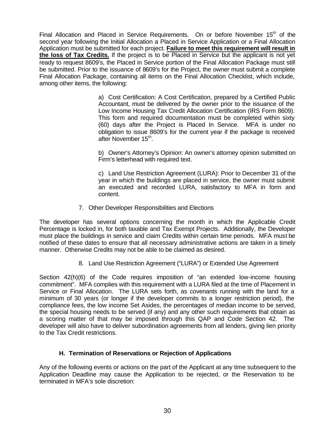Final Allocation and Placed in Service Requirements. On or before November  $15<sup>th</sup>$  of the second year following the Initial Allocation a Placed in Service Application or a Final Allocation Application must be submitted for each project. **Failure to meet this requirement will result in the loss of Tax Credits.** If the project is to be Placed in Service but the applicant is not yet ready to request 8609's, the Placed in Service portion of the Final Allocation Package must still be submitted. Prior to the issuance of 8609's for the Project, the owner must submit a complete Final Allocation Package, containing all items on the Final Allocation Checklist, which include, among other items, the following:

> a) Cost Certification: A Cost Certification, prepared by a Certified Public Accountant, must be delivered by the owner prior to the issuance of the Low Income Housing Tax Credit Allocation Certification (IRS Form 8609). This form and required documentation must be completed within sixty (60) days after the Project is Placed In Service. MFA is under no obligation to issue 8609's for the current year if the package is received after November 15<sup>th</sup>.

> b) Owner's Attorney's Opinion: An owner's attorney opinion submitted on Firm's letterhead with required text.

> c) Land Use Restriction Agreement (LURA): Prior to December 31 of the year in which the buildings are placed in service, the owner must submit an executed and recorded LURA, satisfactory to MFA in form and content.

7. Other Developer Responsibilities and Elections

The developer has several options concerning the month in which the Applicable Credit Percentage is locked in, for both taxable and Tax Exempt Projects. Additionally, the Developer must place the buildings in service and claim Credits within certain time periods. MFA must be notified of these dates to ensure that all necessary administrative actions are taken in a timely manner. Otherwise Credits may not be able to be claimed as desired.

8. Land Use Restriction Agreement ("LURA") or Extended Use Agreement

Section 42(h)(6) of the Code requires imposition of "an extended low-income housing commitment". MFA complies with this requirement with a LURA filed at the time of Placement in Service or Final Allocation. The LURA sets forth, as covenants running with the land for a minimum of 30 years (or longer if the developer commits to a longer restriction period), the compliance fees, the low income Set Asides, the percentages of median income to be served, the special housing needs to be served (if any) and any other such requirements that obtain as a scoring matter of that may be imposed through this QAP and Code Section 42. The developer will also have to deliver subordination agreements from all lenders, giving lien priority to the Tax Credit restrictions.

#### **H. Termination of Reservations or Rejection of Applications**

Any of the following events or actions on the part of the Applicant at any time subsequent to the Application Deadline may cause the Application to be rejected, or the Reservation to be terminated in MFA's sole discretion: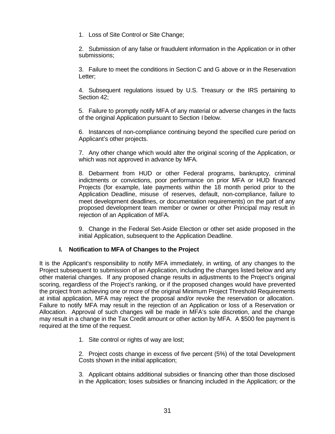1. Loss of Site Control or Site Change;

2. Submission of any false or fraudulent information in the Application or in other submissions;

3. Failure to meet the conditions in Section C and G above or in the Reservation Letter;

4. Subsequent regulations issued by U.S. Treasury or the IRS pertaining to Section 42;

5. Failure to promptly notify MFA of any material or adverse changes in the facts of the original Application pursuant to Section I below.

6. Instances of non-compliance continuing beyond the specified cure period on Applicant's other projects.

7. Any other change which would alter the original scoring of the Application, or which was not approved in advance by MFA.

8. Debarment from HUD or other Federal programs, bankruptcy, criminal indictments or convictions, poor performance on prior MFA or HUD financed Projects (for example, late payments within the 18 month period prior to the Application Deadline, misuse of reserves, default, non-compliance, failure to meet development deadlines, or documentation requirements) on the part of any proposed development team member or owner or other Principal may result in rejection of an Application of MFA.

9. Change in the Federal Set-Aside Election or other set aside proposed in the initial Application, subsequent to the Application Deadline.

#### **I. Notification to MFA of Changes to the Project**

It is the Applicant's responsibility to notify MFA immediately, in writing, of any changes to the Project subsequent to submission of an Application, including the changes listed below and any other material changes. If any proposed change results in adjustments to the Project's original scoring, regardless of the Project's ranking, or if the proposed changes would have prevented the project from achieving one or more of the original Minimum Project Threshold Requirements at initial application, MFA may reject the proposal and/or revoke the reservation or allocation. Failure to notify MFA may result in the rejection of an Application or loss of a Reservation or Allocation. Approval of such changes will be made in MFA's sole discretion, and the change may result in a change in the Tax Credit amount or other action by MFA. A \$500 fee payment is required at the time of the request.

1. Site control or rights of way are lost;

2. Project costs change in excess of five percent (5%) of the total Development Costs shown in the initial application;

3. Applicant obtains additional subsidies or financing other than those disclosed in the Application; loses subsidies or financing included in the Application; or the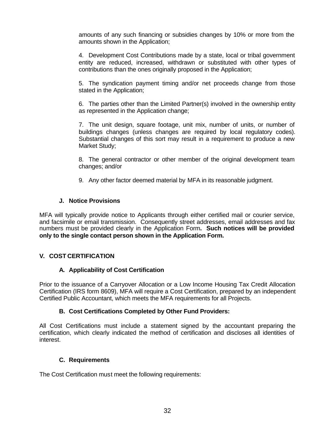amounts of any such financing or subsidies changes by 10% or more from the amounts shown in the Application;

4. Development Cost Contributions made by a state, local or tribal government entity are reduced, increased, withdrawn or substituted with other types of contributions than the ones originally proposed in the Application;

5. The syndication payment timing and/or net proceeds change from those stated in the Application;

6. The parties other than the Limited Partner(s) involved in the ownership entity as represented in the Application change;

7. The unit design, square footage, unit mix, number of units, or number of buildings changes (unless changes are required by local regulatory codes). Substantial changes of this sort may result in a requirement to produce a new Market Study;

8. The general contractor or other member of the original development team changes; and/or

9. Any other factor deemed material by MFA in its reasonable judgment.

# **J. Notice Provisions**

MFA will typically provide notice to Applicants through either certified mail or courier service, and facsimile or email transmission. Consequently street addresses, email addresses and fax numbers must be provided clearly in the Application Form**. Such notices will be provided only to the single contact person shown in the Application Form.**

# **V. COST CERTIFICATION**

#### **A. Applicability of Cost Certification**

Prior to the issuance of a Carryover Allocation or a Low Income Housing Tax Credit Allocation Certification (IRS form 8609), MFA will require a Cost Certification, prepared by an independent Certified Public Accountant, which meets the MFA requirements for all Projects.

#### **B. Cost Certifications Completed by Other Fund Providers:**

All Cost Certifications must include a statement signed by the accountant preparing the certification, which clearly indicated the method of certification and discloses all identities of interest.

#### **C. Requirements**

The Cost Certification must meet the following requirements: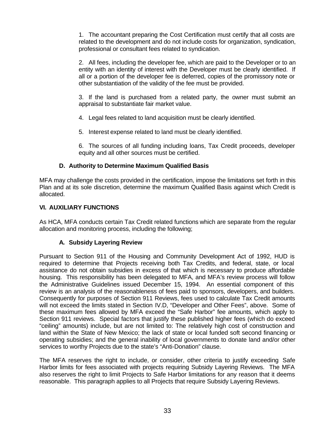1. The accountant preparing the Cost Certification must certify that all costs are related to the development and do not include costs for organization, syndication, professional or consultant fees related to syndication.

2. All fees, including the developer fee, which are paid to the Developer or to an entity with an identity of interest with the Developer must be clearly identified. If all or a portion of the developer fee is deferred, copies of the promissory note or other substantiation of the validity of the fee must be provided.

3. If the land is purchased from a related party, the owner must submit an appraisal to substantiate fair market value.

4. Legal fees related to land acquisition must be clearly identified.

5. Interest expense related to land must be clearly identified.

6. The sources of all funding including loans, Tax Credit proceeds, developer equity and all other sources must be certified.

# **D. Authority to Determine Maximum Qualified Basis**

MFA may challenge the costs provided in the certification, impose the limitations set forth in this Plan and at its sole discretion, determine the maximum Qualified Basis against which Credit is allocated.

#### **VI. AUXILIARY FUNCTIONS**

As HCA, MFA conducts certain Tax Credit related functions which are separate from the regular allocation and monitoring process, including the following;

#### **A. Subsidy Layering Review**

Pursuant to Section 911 of the Housing and Community Development Act of 1992, HUD is required to determine that Projects receiving both Tax Credits, and federal, state, or local assistance do not obtain subsidies in excess of that which is necessary to produce affordable housing. This responsibility has been delegated to MFA, and MFA's review process will follow the Administrative Guidelines issued December 15, 1994. An essential component of this review is an analysis of the reasonableness of fees paid to sponsors, developers, and builders. Consequently for purposes of Section 911 Reviews, fees used to calculate Tax Credit amounts will not exceed the limits stated in Section IV.D, "Developer and Other Fees", above. Some of these maximum fees allowed by MFA exceed the "Safe Harbor" fee amounts, which apply to Section 911 reviews. Special factors that justify these published higher fees (which do exceed "ceiling" amounts) include, but are not limited to: The relatively high cost of construction and land within the State of New Mexico; the lack of state or local funded soft second financing or operating subsidies; and the general inability of local governments to donate land and/or other services to worthy Projects due to the state's "Anti-Donation" clause.

The MFA reserves the right to include, or consider, other criteria to justify exceeding Safe Harbor limits for fees associated with projects requiring Subsidy Layering Reviews. The MFA also reserves the right to limit Projects to Safe Harbor limitations for any reason that it deems reasonable. This paragraph applies to all Projects that require Subsidy Layering Reviews.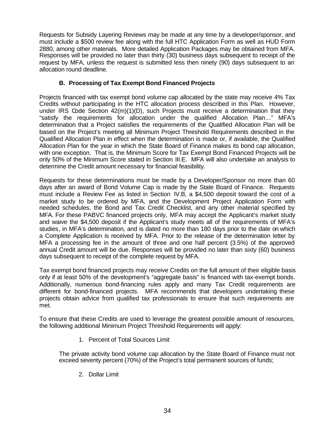Requests for Subsidy Layering Reviews may be made at any time by a developer/sponsor, and must include a \$500 review fee along with the full HTC Application Form as well as HUD Form 2880, among other materials. More detailed Application Packages may be obtained from MFA. Responses will be provided no later than thirty (30) business days subsequent to receipt of the request by MFA, unless the request is submitted less then ninety (90) days subsequent to an allocation round deadline.

# **B. Processing of Tax Exempt Bond Financed Projects**

Projects financed with tax exempt bond volume cap allocated by the state may receive 4% Tax Credits without participating in the HTC allocation process described in this Plan. However, under IRS Code Section  $42(m)(1)(D)$ , such Projects must receive a determination that they "satisfy the requirements for allocation under the qualified Allocation Plan…" MFA's determination that a Project satisfies the requirements of the Qualified Allocation Plan will be based on the Project's meeting all Minimum Project Threshold Requirements described in the Qualified Allocation Plan in effect when the determination is made or, if available, the Qualified Allocation Plan for the year in which the State Board of Finance makes its bond cap allocation, with one exception. That is, the Minimum Score for Tax Exempt Bond Financed Projects will be only 50% of the Minimum Score stated in Section III.E. MFA will also undertake an analysis to determine the Credit amount necessary for financial feasibility.

Requests for these determinations must be made by a Developer/Sponsor no more than 60 days after an award of Bond Volume Cap is made by the State Board of Finance. Requests must include a Review Fee as listed in Section IV.B, a \$4,500 deposit toward the cost of a market study to be ordered by MFA, and the Development Project Application Form with needed schedules, the Bond and Tax Credit Checklist, and any other material specified by MFA. For these PABVC financed projects only, MFA may accept the Applicant's market study and waive the \$4,500 deposit if the Applicant's study meets all of the requirements of MFA's studies, in MFA's determination, and is dated no more than 180 days prior to the date on which a Complete Application is received by MFA. Prior to the release of the determination letter by MFA a processing fee in the amount of three and one half percent (3.5%) of the approved annual Credit amount will be due. Responses will be provided no later than sixty (60) business days subsequent to receipt of the complete request by MFA.

Tax exempt bond financed projects may receive Credits on the full amount of their eligible basis only if at least 50% of the development's "aggregate basis" is financed with tax-exempt bonds. Additionally, numerous bond-financing rules apply and many Tax Credit requirements are different for bond-financed projects. MFA recommends that developers undertaking these projects obtain advice from qualified tax professionals to ensure that such requirements are met.

To ensure that these Credits are used to leverage the greatest possible amount of resources, the following additional Minimum Project Threshold Requirements will apply:

1. Percent of Total Sources Limit

The private activity bond volume cap allocation by the State Board of Finance must not exceed seventy percent (70%) of the Project's total permanent sources of funds;

2. Dollar Limit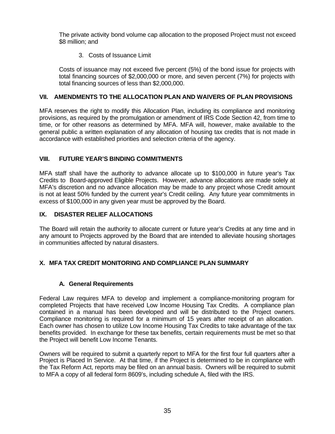The private activity bond volume cap allocation to the proposed Project must not exceed \$8 million; and

3. Costs of Issuance Limit

Costs of issuance may not exceed five percent (5%) of the bond issue for projects with total financing sources of \$2,000,000 or more, and seven percent (7%) for projects with total financing sources of less than \$2,000,000.

# **VII. AMENDMENTS TO THE ALLOCATION PLAN AND WAIVERS OF PLAN PROVISIONS**

MFA reserves the right to modify this Allocation Plan, including its compliance and monitoring provisions, as required by the promulgation or amendment of IRS Code Section 42, from time to time, or for other reasons as determined by MFA. MFA will, however, make available to the general public a written explanation of any allocation of housing tax credits that is not made in accordance with established priorities and selection criteria of the agency.

# **VIII. FUTURE YEAR'S BINDING COMMITMENTS**

MFA staff shall have the authority to advance allocate up to \$100,000 in future year's Tax Credits to Board-approved Eligible Projects. However, advance allocations are made solely at MFA's discretion and no advance allocation may be made to any project whose Credit amount is not at least 50% funded by the current year's Credit ceiling. Any future year commitments in excess of \$100,000 in any given year must be approved by the Board.

# **IX. DISASTER RELIEF ALLOCATIONS**

The Board will retain the authority to allocate current or future year's Credits at any time and in any amount to Projects approved by the Board that are intended to alleviate housing shortages in communities affected by natural disasters.

# **X. MFA TAX CREDIT MONITORING AND COMPLIANCE PLAN SUMMARY**

#### **A. General Requirements**

Federal Law requires MFA to develop and implement a compliance-monitoring program for completed Projects that have received Low Income Housing Tax Credits. A compliance plan contained in a manual has been developed and will be distributed to the Project owners. Compliance monitoring is required for a minimum of 15 years after receipt of an allocation. Each owner has chosen to utilize Low Income Housing Tax Credits to take advantage of the tax benefits provided. In exchange for these tax benefits, certain requirements must be met so that the Project will benefit Low Income Tenants.

Owners will be required to submit a quarterly report to MFA for the first four full quarters after a Project is Placed In Service. At that time, if the Project is determined to be in compliance with the Tax Reform Act, reports may be filed on an annual basis. Owners will be required to submit to MFA a copy of all federal form 8609's, including schedule A, filed with the IRS.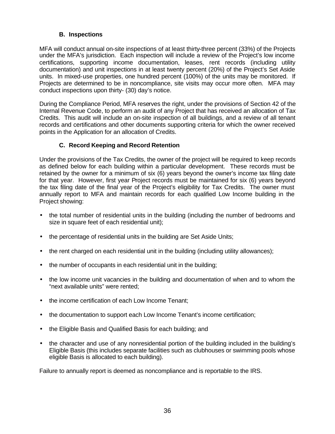# **B. Inspections**

MFA will conduct annual on-site inspections of at least thirty-three percent (33%) of the Projects under the MFA's jurisdiction. Each inspection will include a review of the Project's low income certifications, supporting income documentation, leases, rent records (including utility documentation) and unit inspections in at least twenty percent (20%) of the Project's Set Aside units. In mixed-use properties, one hundred percent (100%) of the units may be monitored. If Projects are determined to be in noncompliance, site visits may occur more often. MFA may conduct inspections upon thirty- (30) day's notice.

During the Compliance Period, MFA reserves the right, under the provisions of Section 42 of the Internal Revenue Code, to perform an audit of any Project that has received an allocation of Tax Credits. This audit will include an on-site inspection of all buildings, and a review of all tenant records and certifications and other documents supporting criteria for which the owner received points in the Application for an allocation of Credits.

# **C. Record Keeping and Record Retention**

Under the provisions of the Tax Credits, the owner of the project will be required to keep records as defined below for each building within a particular development. These records must be retained by the owner for a minimum of six (6) years beyond the owner's income tax filing date for that year. However, first year Project records must be maintained for six (6) years beyond the tax filing date of the final year of the Project's eligibility for Tax Credits. The owner must annually report to MFA and maintain records for each qualified Low Income building in the Project showing:

- the total number of residential units in the building (including the number of bedrooms and size in square feet of each residential unit);
- the percentage of residential units in the building are Set Aside Units;
- the rent charged on each residential unit in the building (including utility allowances);
- the number of occupants in each residential unit in the building;
- the low income unit vacancies in the building and documentation of when and to whom the "next available units" were rented;
- the income certification of each Low Income Tenant;
- the documentation to support each Low Income Tenant's income certification;
- the Eligible Basis and Qualified Basis for each building; and
- the character and use of any nonresidential portion of the building included in the building's Eligible Basis (this includes separate facilities such as clubhouses or swimming pools whose eligible Basis is allocated to each building).

Failure to annually report is deemed as noncompliance and is reportable to the IRS.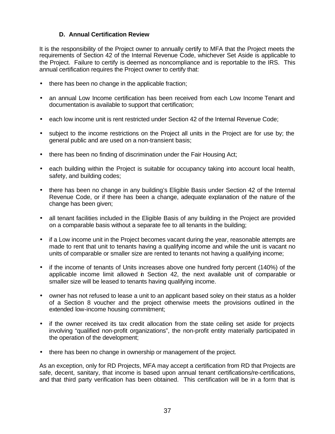# **D. Annual Certification Review**

It is the responsibility of the Project owner to annually certify to MFA that the Project meets the requirements of Section 42 of the Internal Revenue Code, whichever Set Aside is applicable to the Project. Failure to certify is deemed as noncompliance and is reportable to the IRS. This annual certification requires the Project owner to certify that:

- there has been no change in the applicable fraction;
- an annual Low Income certification has been received from each Low Income Tenant and documentation is available to support that certification;
- each low income unit is rent restricted under Section 42 of the Internal Revenue Code;
- subject to the income restrictions on the Project all units in the Project are for use by; the general public and are used on a non-transient basis;
- there has been no finding of discrimination under the Fair Housing Act;
- each building within the Project is suitable for occupancy taking into account local health, safety, and building codes;
- there has been no change in any building's Eligible Basis under Section 42 of the Internal Revenue Code, or if there has been a change, adequate explanation of the nature of the change has been given;
- all tenant facilities included in the Eligible Basis of any building in the Project are provided on a comparable basis without a separate fee to all tenants in the building;
- if a Low income unit in the Project becomes vacant during the year, reasonable attempts are made to rent that unit to tenants having a qualifying income and while the unit is vacant no units of comparable or smaller size are rented to tenants not having a qualifying income;
- if the income of tenants of Units increases above one hundred forty percent (140%) of the applicable income limit allowed in Section 42, the next available unit of comparable or smaller size will be leased to tenants having qualifying income.
- owner has not refused to lease a unit to an applicant based soley on their status as a holder of a Section 8 voucher and the project otherwise meets the provisions outlined in the extended low-income housing commitment;
- if the owner received its tax credit allocation from the state ceiling set aside for projects involving "qualified non-profit organizations", the non-profit entity materially participated in the operation of the development;
- there has been no change in ownership or management of the project.

As an exception, only for RD Projects, MFA may accept a certification from RD that Projects are safe, decent, sanitary, that income is based upon annual tenant certifications/re-certifications, and that third party verification has been obtained. This certification will be in a form that is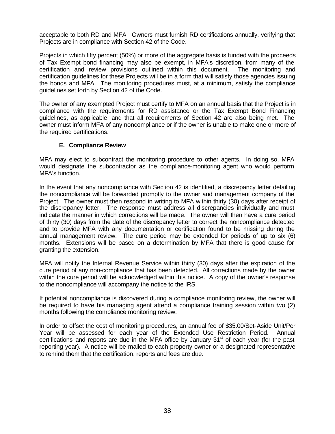acceptable to both RD and MFA. Owners must furnish RD certifications annually, verifying that Projects are in compliance with Section 42 of the Code.

Projects in which fifty percent (50%) or more of the aggregate basis is funded with the proceeds of Tax Exempt bond financing may also be exempt, in MFA's discretion, from many of the certification and review provisions outlined within this document. The monitoring and certification guidelines for these Projects will be in a form that will satisfy those agencies issuing the bonds and MFA. The monitoring procedures must, at a minimum, satisfy the compliance guidelines set forth by Section 42 of the Code.

The owner of any exempted Project must certify to MFA on an annual basis that the Project is in compliance with the requirements for RD assistance or the Tax Exempt Bond Financing guidelines, as applicable, and that all requirements of Section 42 are also being met. The owner must inform MFA of any noncompliance or if the owner is unable to make one or more of the required certifications.

#### **E. Compliance Review**

MFA may elect to subcontract the monitoring procedure to other agents. In doing so, MFA would designate the subcontractor as the compliance-monitoring agent who would perform MFA's function.

In the event that any noncompliance with Section 42 is identified, a discrepancy letter detailing the noncompliance will be forwarded promptly to the owner and management company of the Project. The owner must then respond in writing to MFA within thirty (30) days after receipt of the discrepancy letter. The response must address all discrepancies individually and must indicate the manner in which corrections will be made. The owner will then have a cure period of thirty (30) days from the date of the discrepancy letter to correct the noncompliance detected and to provide MFA with any documentation or certification found to be missing during the annual management review. The cure period may be extended for periods of up to six (6) months. Extensions will be based on a determination by MFA that there is good cause for granting the extension.

MFA will notify the Internal Revenue Service within thirty (30) days after the expiration of the cure period of any non-compliance that has been detected. All corrections made by the owner within the cure period will be acknowledged within this notice. A copy of the owner's response to the noncompliance will accompany the notice to the IRS.

If potential noncompliance is discovered during a compliance monitoring review, the owner will be required to have his managing agent attend a compliance training session within two (2) months following the compliance monitoring review.

In order to offset the cost of monitoring procedures, an annual fee of \$35.00/Set-Aside Unit/Per Year will be assessed for each year of the Extended Use Restriction Period. Annual certifications and reports are due in the MFA office by January  $31<sup>st</sup>$  of each year (for the past reporting year). A notice will be mailed to each property owner or a designated representative to remind them that the certification, reports and fees are due.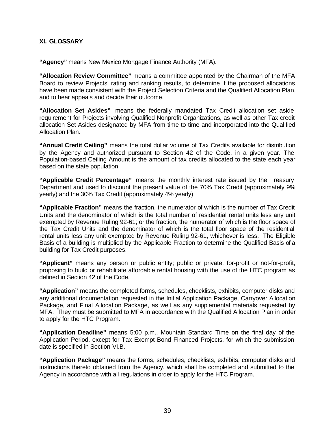# **XI. GLOSSARY**

**"Agency"** means New Mexico Mortgage Finance Authority (MFA).

**"Allocation Review Committee"** means a committee appointed by the Chairman of the MFA Board to review Projects' rating and ranking results, to determine if the proposed allocations have been made consistent with the Project Selection Criteria and the Qualified Allocation Plan, and to hear appeals and decide their outcome.

**"Allocation Set Asides"** means the federally mandated Tax Credit allocation set aside requirement for Projects involving Qualified Nonprofit Organizations, as well as other Tax credit allocation Set Asides designated by MFA from time to time and incorporated into the Qualified Allocation Plan.

**"Annual Credit Ceiling"** means the total dollar volume of Tax Credits available for distribution by the Agency and authorized pursuant to Section 42 of the Code, in a given year. The Population-based Ceiling Amount is the amount of tax credits allocated to the state each year based on the state population.

**"Applicable Credit Percentage"** means the monthly interest rate issued by the Treasury Department and used to discount the present value of the 70% Tax Credit (approximately 9% yearly) and the 30% Tax Credit (approximately 4% yearly).

**"Applicable Fraction"** means the fraction, the numerator of which is the number of Tax Credit Units and the denominator of which is the total number of residential rental units less any unit exempted by Revenue Ruling 92-61; or the fraction, the numerator of which is the floor space of the Tax Credit Units and the denominator of which is the total floor space of the residential rental units less any unit exempted by Revenue Ruling 92-61, whichever is less. The Eligible Basis of a building is multiplied by the Applicable Fraction to determine the Qualified Basis of a building for Tax Credit purposes.

**"Applicant"** means any person or public entity; public or private, for-profit or not-for-profit, proposing to build or rehabilitate affordable rental housing with the use of the HTC program as defined in Section 42 of the Code.

**"Application"** means the completed forms, schedules, checklists, exhibits, computer disks and any additional documentation requested in the Initial Application Package, Carryover Allocation Package, and Final Allocation Package, as well as any supplemental materials requested by MFA. They must be submitted to MFA in accordance with the Qualified Allocation Plan in order to apply for the HTC Program.

**"Application Deadline"** means 5:00 p.m., Mountain Standard Time on the final day of the Application Period, except for Tax Exempt Bond Financed Projects, for which the submission date is specified in Section VI.B.

**"Application Package"** means the forms, schedules, checklists, exhibits, computer disks and instructions thereto obtained from the Agency, which shall be completed and submitted to the Agency in accordance with all regulations in order to apply for the HTC Program.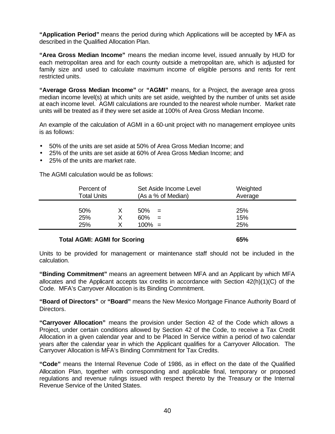**"Application Period"** means the period during which Applications will be accepted by MFA as described in the Qualified Allocation Plan.

**"Area Gross Median Income"** means the median income level, issued annually by HUD for each metropolitan area and for each county outside a metropolitan are, which is adjusted for family size and used to calculate maximum income of eligible persons and rents for rent restricted units.

**"Average Gross Median Income"** or **"AGMI"** means, for a Project, the average area gross median income level(s) at which units are set aside, weighted by the number of units set aside at each income level. AGMI calculations are rounded to the nearest whole number. Market rate units will be treated as if they were set aside at 100% of Area Gross Median Income.

An example of the calculation of AGMI in a 60-unit project with no management employee units is as follows:

- 50% of the units are set aside at 50% of Area Gross Median Income; and
- 25% of the units are set aside at 60% of Area Gross Median Income; and
- 25% of the units are market rate.

The AGMI calculation would be as follows:

| Percent of<br><b>Total Units</b> |   | Set Aside Income Level<br>(As a % of Median) | Weighted<br>Average |
|----------------------------------|---|----------------------------------------------|---------------------|
| 50%                              |   | 50%<br>$=$                                   | 25%                 |
| 25%                              | X | 60%<br>$=$                                   | 15%                 |
| 25%                              |   | $100\% =$                                    | 25%                 |

#### **Total AGMI: AGMI for Scoring 65%**

Units to be provided for management or maintenance staff should not be included in the calculation.

**"Binding Commitment"** means an agreement between MFA and an Applicant by which MFA allocates and the Applicant accepts tax credits in accordance with Section 42(h)(1)(C) of the Code. MFA's Carryover Allocation is its Binding Commitment.

**"Board of Directors"** or **"Board"** means the New Mexico Mortgage Finance Authority Board of Directors.

**"Carryover Allocation"** means the provision under Section 42 of the Code which allows a Project, under certain conditions allowed by Section 42 of the Code, to receive a Tax Credit Allocation in a given calendar year and to be Placed In Service within a period of two calendar years after the calendar year in which the Applicant qualifies for a Carryover Allocation. The Carryover Allocation is MFA's Binding Commitment for Tax Credits.

**"Code"** means the Internal Revenue Code of 1986, as in effect on the date of the Qualified Allocation Plan, together with corresponding and applicable final, temporary or proposed regulations and revenue rulings issued with respect thereto by the Treasury or the Internal Revenue Service of the United States.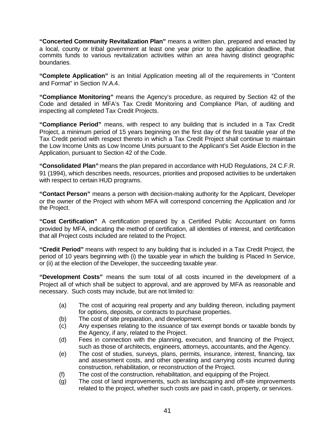**"Concerted Community Revitalization Plan"** means a written plan, prepared and enacted by a local, county or tribal government at least one year prior to the application deadline, that commits funds to various revitalization activities within an area having distinct geographic boundaries.

**"Complete Application"** is an Initial Application meeting all of the requirements in "Content and Format" in Section IV.A.4.

**"Compliance Monitoring"** means the Agency's procedure, as required by Section 42 of the Code and detailed in MFA's Tax Credit Monitoring and Compliance Plan, of auditing and inspecting all completed Tax Credit Projects.

**"Compliance Period"** means, with respect to any building that is included in a Tax Credit Project, a minimum period of 15 years beginning on the first day of the first taxable year of the Tax Credit period with respect thereto in which a Tax Credit Project shall continue to maintain the Low Income Units as Low Income Units pursuant to the Applicant's Set Aside Election in the Application, pursuant to Section 42 of the Code.

**"Consolidated Plan"** means the plan prepared in accordance with HUD Regulations, 24 C.F.R. 91 (1994), which describes needs, resources, priorities and proposed activities to be undertaken with respect to certain HUD programs.

**"Contact Person"** means a person with decision-making authority for the Applicant, Developer or the owner of the Project with whom MFA will correspond concerning the Application and /or the Project.

**"Cost Certification"** A certification prepared by a Certified Public Accountant on forms provided by MFA, indicating the method of certification, all identities of interest, and certification that all Project costs included are related to the Project.

**"Credit Period"** means with respect to any building that is included in a Tax Credit Project, the period of 10 years beginning with (i) the taxable year in which the building is Placed In Service, or (ii) at the election of the Developer, the succeeding taxable year.

**"Development Costs"** means the sum total of all costs incurred in the development of a Project all of which shall be subject to approval, and are approved by MFA as reasonable and necessary. Such costs may include, but are not limited to:

- (a) The cost of acquiring real property and any building thereon, including payment for options, deposits, or contracts to purchase properties.
- (b) The cost of site preparation, and development.
- (c) Any expenses relating to the issuance of tax exempt bonds or taxable bonds by the Agency, if any, related to the Project.
- (d) Fees in connection with the planning, execution, and financing of the Project, such as those of architects, engineers, attorneys, accountants, and the Agency.
- (e) The cost of studies, surveys, plans, permits, insurance, interest, financing, tax and assessment costs, and other operating and carrying costs incurred during construction, rehabilitation, or reconstruction of the Project.
- (f) The cost of the construction, rehabilitation, and equipping of the Project.
- (g) The cost of land improvements, such as landscaping and off-site improvements related to the project, whether such costs are paid in cash, property, or services.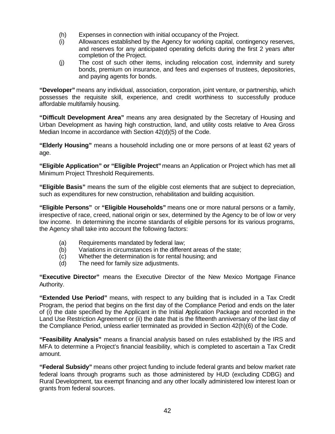- (h) Expenses in connection with initial occupancy of the Project.
- (i) Allowances established by the Agency for working capital, contingency reserves, and reserves for any anticipated operating deficits during the first 2 years after completion of the Project.
- (j) The cost of such other items, including relocation cost, indemnity and surety bonds, premium on insurance, and fees and expenses of trustees, depositories, and paying agents for bonds.

**"Developer"** means any individual, association, corporation, joint venture, or partnership, which possesses the requisite skill, experience, and credit worthiness to successfully produce affordable multifamily housing.

**"Difficult Development Area"** means any area designated by the Secretary of Housing and Urban Development as having high construction, land, and utility costs relative to Area Gross Median Income in accordance with Section 42(d)(5) of the Code.

**"Elderly Housing"** means a household including one or more persons of at least 62 years of age.

**"Eligible Application" or "Eligible Project"** means an Application or Project which has met all Minimum Project Threshold Requirements.

**"Eligible Basis"** means the sum of the eligible cost elements that are subject to depreciation, such as expenditures for new construction, rehabilitation and building acquisition.

**"Eligible Persons"** or **"Eligible Households"** means one or more natural persons or a family, irrespective of race, creed, national origin or sex, determined by the Agency to be of low or very low income. In determining the income standards of eligible persons for its various programs, the Agency shall take into account the following factors:

- (a) Requirements mandated by federal law;
- (b) Variations in circumstances in the different areas of the state;
- (c) Whether the determination is for rental housing; and
- (d) The need for family size adjustments.

**"Executive Director"** means the Executive Director of the New Mexico Mortgage Finance Authority.

**"Extended Use Period"** means, with respect to any building that is included in a Tax Credit Program, the period that begins on the first day of the Compliance Period and ends on the later of (i) the date specified by the Applicant in the Initial Application Package and recorded in the Land Use Restriction Agreement or (ii) the date that is the fifteenth anniversary of the last day of the Compliance Period, unless earlier terminated as provided in Section 42(h)(6) of the Code.

**"Feasibility Analysis"** means a financial analysis based on rules established by the IRS and MFA to determine a Project's financial feasibility, which is completed to ascertain a Tax Credit amount.

**"Federal Subsidy"** means other project funding to include federal grants and below market rate federal loans through programs such as those administered by HUD (excluding CDBG) and Rural Development, tax exempt financing and any other locally administered low interest loan or grants from federal sources.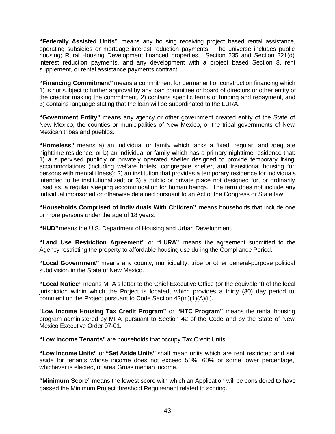**"Federally Assisted Units"** means any housing receiving project based rental assistance, operating subsidies or mortgage interest reduction payments. The universe includes public housing; Rural Housing Development financed properties. Section 235 and Section 221(d) interest reduction payments, and any development with a project based Section 8, rent supplement, or rental assistance payments contract.

**"Financing Commitment"** means a commitment for permanent or construction financing which 1) is not subject to further approval by any loan committee or board of directors or other entity of the creditor making the commitment, 2) contains specific terms of funding and repayment, and 3) contains language stating that the loan will be subordinated to the LURA.

**"Government Entity"** means any agency or other government created entity of the State of New Mexico, the counties or municipalities of New Mexico, or the tribal governments of New Mexican tribes and pueblos.

**"Homeless"** means a) an individual or family which lacks a fixed, regular, and adequate nighttime residence; or b) an individual or family which has a primary nighttime residence that: 1) a supervised publicly or privately operated shelter designed to provide temporary living accommodations (including welfare hotels, congregate shelter, and transitional housing for persons with mental illness); 2) an institution that provides a temporary residence for individuals intended to be institutionalized; or 3) a public or private place not designed for, or ordinarily used as, a regular sleeping accommodation for human beings. The term does not include any individual imprisoned or otherwise detained pursuant to an Act of the Congress or State law.

**"Households Comprised of Individuals With Children"** means households that include one or more persons under the age of 18 years.

**"HUD"**means the U.S. Department of Housing and Urban Development.

**"Land Use Restriction Agreement"** or **"LURA"** means the agreement submitted to the Agency restricting the property to affordable housing use during the Compliance Period.

**"Local Government"** means any county, municipality, tribe or other general-purpose political subdivision in the State of New Mexico.

**"Local Notice"** means MFA's letter to the Chief Executive Office (or the equivalent) of the local jurisdiction within which the Project is located, which provides a thirty (30) day period to comment on the Project pursuant to Code Section 42(m)(1)(A)(ii).

"**Low Income Housing Tax Credit Program"** or **"HTC Program"** means the rental housing program administered by MFA pursuant to Section 42 of the Code and by the State of New Mexico Executive Order 97-01.

**"Low Income Tenants"** are households that occupy Tax Credit Units.

**"Low Income Units"** or **"Set Aside Units"** shall mean units which are rent restricted and set aside for tenants whose income does not exceed 50%, 60% or some lower percentage, whichever is elected, of area Gross median income.

**"Minimum Score"** means the lowest score with which an Application will be considered to have passed the Minimum Project threshold Requirement related to scoring.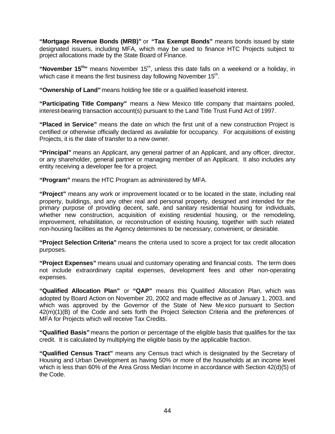**"Mortgage Revenue Bonds (MRB)"** or **"Tax Exempt Bonds"** means bonds issued by state designated issuers, including MFA, which may be used to finance HTC Projects subject to project allocations made by the State Board of Finance.

"November 15<sup>th</sup>" means November 15<sup>th</sup>, unless this date falls on a weekend or a holiday, in which case it means the first business day following November  $15^{th}$ .

**"Ownership of Land"** means holding fee title or a qualified leasehold interest.

**"Participating Title Company"** means a New Mexico title company that maintains pooled, interest-bearing transaction account(s) pursuant to the Land Title Trust Fund Act of 1997.

**"Placed in Service"** means the date on which the first unit of a new construction Project is certified or otherwise officially declared as available for occupancy. For acquisitions of existing Projects, it is the date of transfer to a new owner.

**"Principal"** means an Applicant, any general partner of an Applicant, and any officer, director, or any shareholder, general partner or managing member of an Applicant. It also includes any entity receiving a developer fee for a project.

**"Program"** means the HTC Program as administered by MFA.

**"Project"** means any work or improvement located or to be located in the state, including real property, buildings, and any other real and personal property, designed and intended for the primary purpose of providing decent, safe, and sanitary residential housing for individuals, whether new construction, acquisition of existing residential housing, or the remodeling, improvement, rehabilitation, or reconstruction of existing housing, together with such related non-housing facilities as the Agency determines to be necessary, convenient, or desirable.

**"Project Selection Criteria"** means the criteria used to score a project for tax credit allocation purposes.

**"Project Expenses"** means usual and customary operating and financial costs. The term does not include extraordinary capital expenses, development fees and other non-operating expenses.

**"Qualified Allocation Plan"** or **"QAP"** means this Qualified Allocation Plan, which was adopted by Board Action on November 20, 2002 and made effective as of January 1, 2003, and which was approved by the Governor of the State of New Mexico pursuant to Section 42(m)(1)(B) of the Code and sets forth the Project Selection Criteria and the preferences of MFA for Projects which will receive Tax Credits.

**"Qualified Basis"** means the portion or percentage of the eligible basis that qualifies for the tax credit. It is calculated by multiplying the eligible basis by the applicable fraction.

**"Qualified Census Tract"** means any Census tract which is designated by the Secretary of Housing and Urban Development as having 50% or more of the households at an income level which is less than 60% of the Area Gross Median Income in accordance with Section 42(d)(5) of the Code.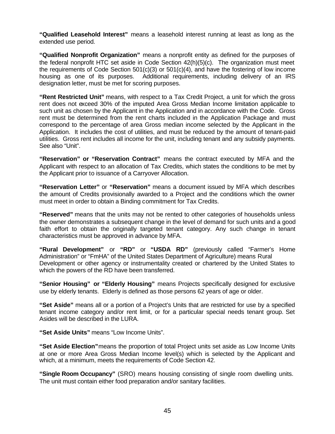**"Qualified Leasehold Interest"** means a leasehold interest running at least as long as the extended use period.

**"Qualified Nonprofit Organization"** means a nonprofit entity as defined for the purposes of the federal nonprofit HTC set aside in Code Section 42(h)(5)(c). The organization must meet the requirements of Code Section 501(c)(3) or 501(c)(4), and have the fostering of low income housing as one of its purposes. Additional requirements, including delivery of an IRS designation letter, must be met for scoring purposes.

**"Rent Restricted Unit"** means, with respect to a Tax Credit Project, a unit for which the gross rent does not exceed 30% of the imputed Area Gross Median Income limitation applicable to such unit as chosen by the Applicant in the Application and in accordance with the Code. Gross rent must be determined from the rent charts included in the Application Package and must correspond to the percentage of area Gross median income selected by the Applicant in the Application. It includes the cost of utilities, and must be reduced by the amount of tenant-paid utilities. Gross rent includes all income for the unit, including tenant and any subsidy payments. See also "Unit".

**"Reservation" or "Reservation Contract"** means the contract executed by MFA and the Applicant with respect to an allocation of Tax Credits, which states the conditions to be met by the Applicant prior to issuance of a Carryover Allocation.

**"Reservation Letter"** or **"Reservation"** means a document issued by MFA which describes the amount of Credits provisionally awarded to a Project and the conditions which the owner must meet in order to obtain a Binding commitment for Tax Credits.

**"Reserved"** means that the units may not be rented to other categories of households unless the owner demonstrates a subsequent change in the level of demand for such units and a good faith effort to obtain the originally targeted tenant category. Any such change in tenant characteristics must be approved in advance by MFA.

**"Rural Development"** or **"RD"** or **"USDA RD"** (previously called "Farmer's Home Administration" or "FmHA" of the United States Department of Agriculture) means Rural Development or other agency or instrumentality created or chartered by the United States to which the powers of the RD have been transferred.

**"Senior Housing" or "Elderly Housing"** means Projects specifically designed for exclusive use by elderly tenants. Elderly is defined as those persons 62 years of age or older.

**"Set Aside"** means all or a portion of a Project's Units that are restricted for use by a specified tenant income category and/or rent limit, or for a particular special needs tenant group. Set Asides will be described in the LURA.

**"Set Aside Units"** means "Low Income Units".

**"Set Aside Election"**means the proportion of total Project units set aside as Low Income Units at one or more Area Gross Median Income level(s) which is selected by the Applicant and which, at a minimum, meets the requirements of Code Section 42.

**"Single Room Occupancy"** (SRO) means housing consisting of single room dwelling units. The unit must contain either food preparation and/or sanitary facilities.